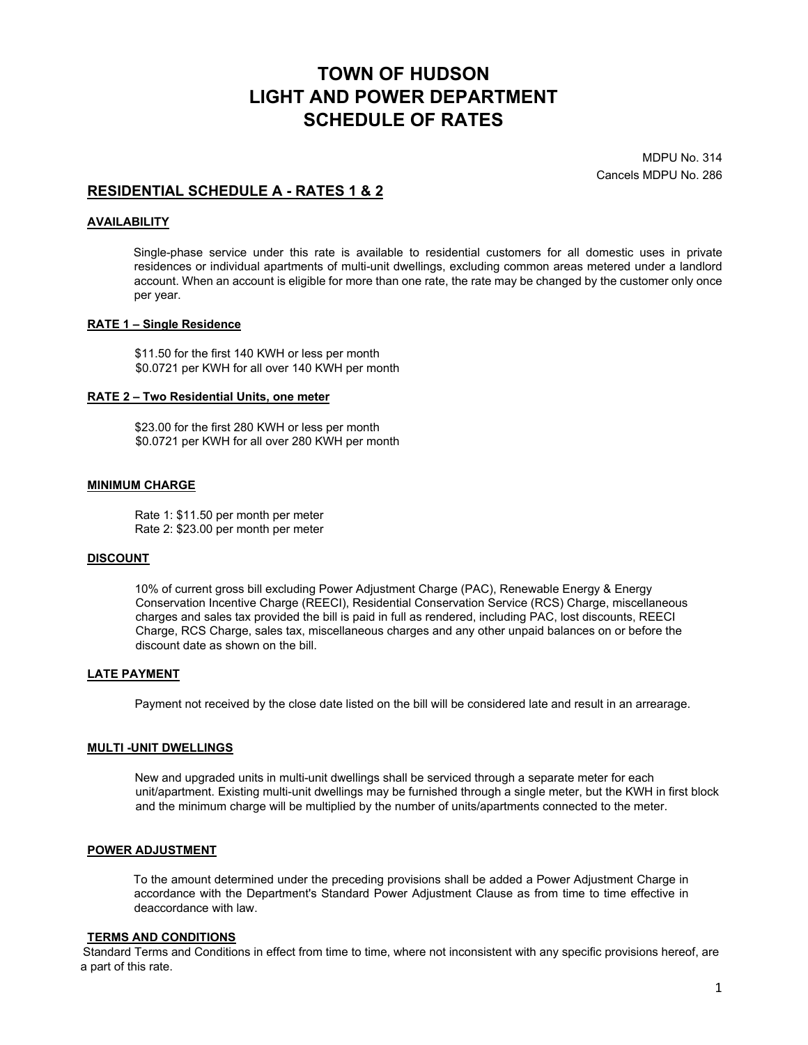# **TOWN OF HUDSON LIGHT AND POWER DEPARTMENT SCHEDULE OF RATES**

MDPU No. 314 Cancels MDPU No. 286

# **RESIDENTIAL SCHEDULE A - RATES 1 & 2**

#### **AVAILABILITY**

Single-phase service under this rate is available to residential customers for all domestic uses in private residences or individual apartments of multi-unit dwellings, excluding common areas metered under a landlord account. When an account is eligible for more than one rate, the rate may be changed by the customer only once per year.

#### **RATE 1 – Single Residence**

\$11.50 for the first 140 KWH or less per month \$0.0721 per KWH for all over 140 KWH per month

#### **RATE 2 – Two Residential Units, one meter**

\$23.00 for the first 280 KWH or less per month \$0.0721 per KWH for all over 280 KWH per month

#### **MINIMUM CHARGE**

Rate 1: \$11.50 per month per meter Rate 2: \$23.00 per month per meter

#### **DISCOUNT**

10% of current gross bill excluding Power Adjustment Charge (PAC), Renewable Energy & Energy Conservation Incentive Charge (REECI), Residential Conservation Service (RCS) Charge, miscellaneous charges and sales tax provided the bill is paid in full as rendered, including PAC, lost discounts, REECI Charge, RCS Charge, sales tax, miscellaneous charges and any other unpaid balances on or before the discount date as shown on the bill.

#### **LATE PAYMENT**

Payment not received by the close date listed on the bill will be considered late and result in an arrearage.

### **MULTI -UNIT DWELLINGS**

New and upgraded units in multi-unit dwellings shall be serviced through a separate meter for each unit/apartment. Existing multi-unit dwellings may be furnished through a single meter, but the KWH in first block and the minimum charge will be multiplied by the number of units/apartments connected to the meter.

#### **POWER ADJUSTMENT**

To the amount determined under the preceding provisions shall be added a Power Adjustment Charge in accordance with the Department's Standard Power Adjustment Clause as from time to time effective in deaccordance with law.

#### **TERMS AND CONDITIONS**

Standard Terms and Conditions in effect from time to time, where not inconsistent with any specific provisions hereof, are a part of this rate.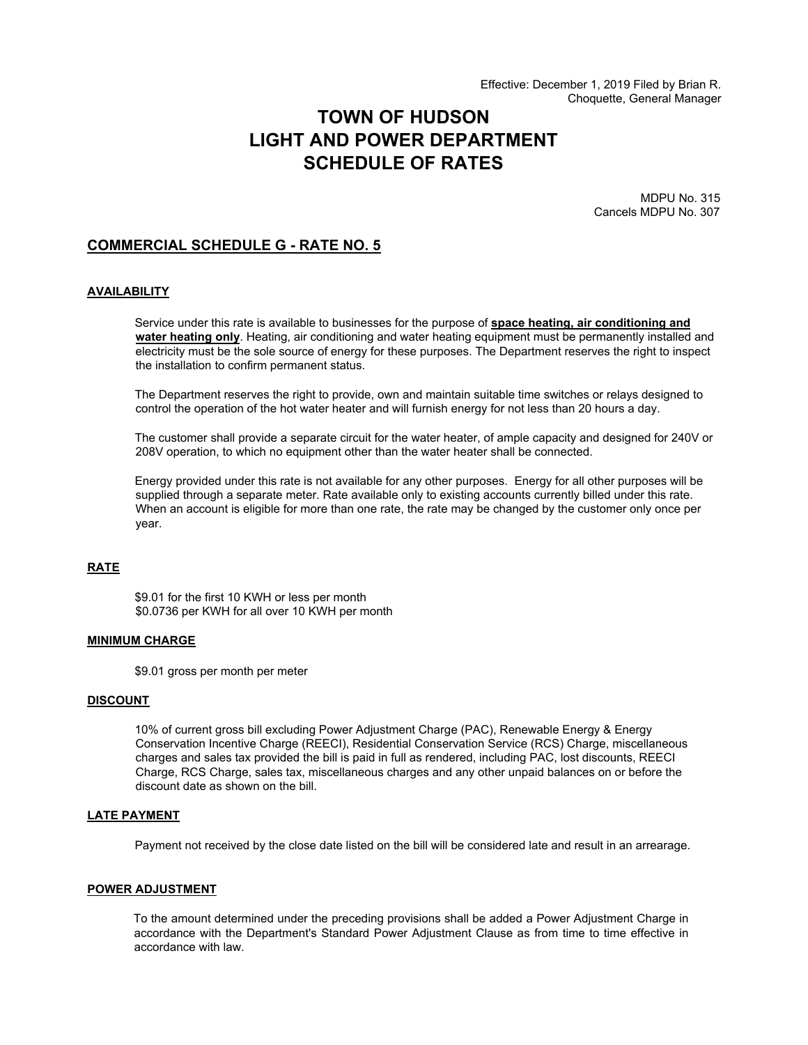# **TOWN OF HUDSON LIGHT AND POWER DEPARTMENT SCHEDULE OF RATES**

MDPU No. 315 Cancels MDPU No. 307

# **COMMERCIAL SCHEDULE G - RATE NO. 5**

#### **AVAILABILITY**

Service under this rate is available to businesses for the purpose of **space heating, air conditioning and water heating only**. Heating, air conditioning and water heating equipment must be permanently installed and electricity must be the sole source of energy for these purposes. The Department reserves the right to inspect the installation to confirm permanent status.

The Department reserves the right to provide, own and maintain suitable time switches or relays designed to control the operation of the hot water heater and will furnish energy for not less than 20 hours a day.

The customer shall provide a separate circuit for the water heater, of ample capacity and designed for 240V or 208V operation, to which no equipment other than the water heater shall be connected.

Energy provided under this rate is not available for any other purposes. Energy for all other purposes will be supplied through a separate meter. Rate available only to existing accounts currently billed under this rate. When an account is eligible for more than one rate, the rate may be changed by the customer only once per year.

# **RATE**

\$9.01 for the first 10 KWH or less per month \$0.0736 per KWH for all over 10 KWH per month

#### **MINIMUM CHARGE**

\$9.01 gross per month per meter

#### **DISCOUNT**

10% of current gross bill excluding Power Adjustment Charge (PAC), Renewable Energy & Energy Conservation Incentive Charge (REECI), Residential Conservation Service (RCS) Charge, miscellaneous charges and sales tax provided the bill is paid in full as rendered, including PAC, lost discounts, REECI Charge, RCS Charge, sales tax, miscellaneous charges and any other unpaid balances on or before the discount date as shown on the bill.

#### **LATE PAYMENT**

Payment not received by the close date listed on the bill will be considered late and result in an arrearage.

#### **POWER ADJUSTMENT**

To the amount determined under the preceding provisions shall be added a Power Adjustment Charge in accordance with the Department's Standard Power Adjustment Clause as from time to time effective in accordance with law.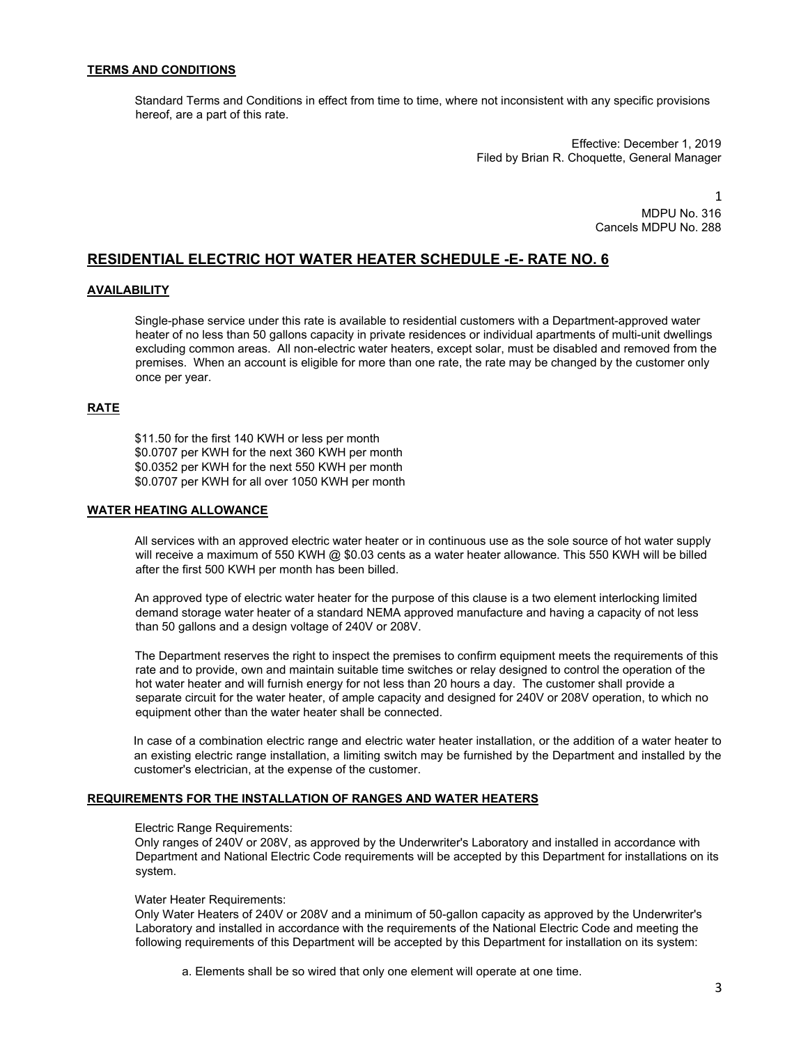#### **TERMS AND CONDITIONS**

Standard Terms and Conditions in effect from time to time, where not inconsistent with any specific provisions hereof, are a part of this rate.

> Effective: December 1, 2019 Filed by Brian R. Choquette, General Manager

 1 MDPU No. 316 Cancels MDPU No. 288

# **RESIDENTIAL ELECTRIC HOT WATER HEATER SCHEDULE -E- RATE NO. 6**

### **AVAILABILITY**

Single-phase service under this rate is available to residential customers with a Department-approved water heater of no less than 50 gallons capacity in private residences or individual apartments of multi-unit dwellings excluding common areas. All non-electric water heaters, except solar, must be disabled and removed from the premises. When an account is eligible for more than one rate, the rate may be changed by the customer only once per year.

#### **RATE**

\$11.50 for the first 140 KWH or less per month \$0.0707 per KWH for the next 360 KWH per month \$0.0352 per KWH for the next 550 KWH per month \$0.0707 per KWH for all over 1050 KWH per month

### **WATER HEATING ALLOWANCE**

All services with an approved electric water heater or in continuous use as the sole source of hot water supply will receive a maximum of 550 KWH @ \$0.03 cents as a water heater allowance. This 550 KWH will be billed after the first 500 KWH per month has been billed.

An approved type of electric water heater for the purpose of this clause is a two element interlocking limited demand storage water heater of a standard NEMA approved manufacture and having a capacity of not less than 50 gallons and a design voltage of 240V or 208V.

The Department reserves the right to inspect the premises to confirm equipment meets the requirements of this rate and to provide, own and maintain suitable time switches or relay designed to control the operation of the hot water heater and will furnish energy for not less than 20 hours a day. The customer shall provide a separate circuit for the water heater, of ample capacity and designed for 240V or 208V operation, to which no equipment other than the water heater shall be connected.

In case of a combination electric range and electric water heater installation, or the addition of a water heater to an existing electric range installation, a limiting switch may be furnished by the Department and installed by the customer's electrician, at the expense of the customer.

### **REQUIREMENTS FOR THE INSTALLATION OF RANGES AND WATER HEATERS**

#### Electric Range Requirements:

Only ranges of 240V or 208V, as approved by the Underwriter's Laboratory and installed in accordance with Department and National Electric Code requirements will be accepted by this Department for installations on its system.

#### Water Heater Requirements:

Only Water Heaters of 240V or 208V and a minimum of 50-gallon capacity as approved by the Underwriter's Laboratory and installed in accordance with the requirements of the National Electric Code and meeting the following requirements of this Department will be accepted by this Department for installation on its system:

a. Elements shall be so wired that only one element will operate at one time.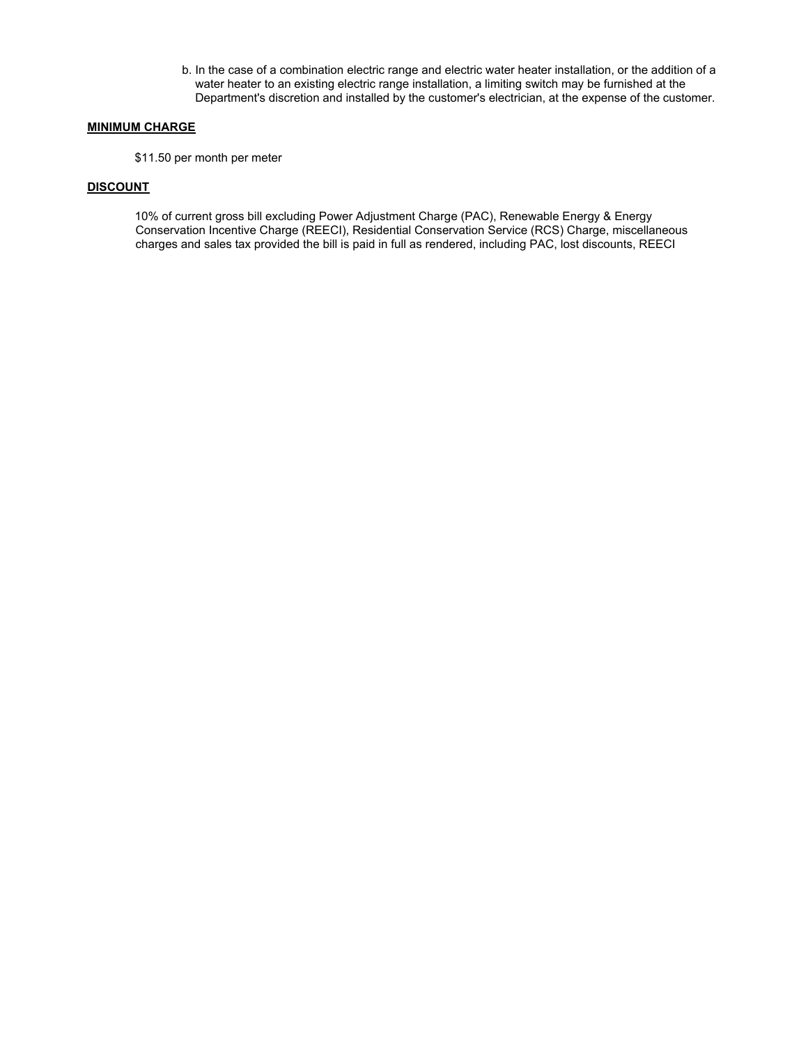b. In the case of a combination electric range and electric water heater installation, or the addition of a water heater to an existing electric range installation, a limiting switch may be furnished at the Department's discretion and installed by the customer's electrician, at the expense of the customer.

### **MINIMUM CHARGE**

\$11.50 per month per meter

### **DISCOUNT**

10% of current gross bill excluding Power Adjustment Charge (PAC), Renewable Energy & Energy Conservation Incentive Charge (REECI), Residential Conservation Service (RCS) Charge, miscellaneous charges and sales tax provided the bill is paid in full as rendered, including PAC, lost discounts, REECI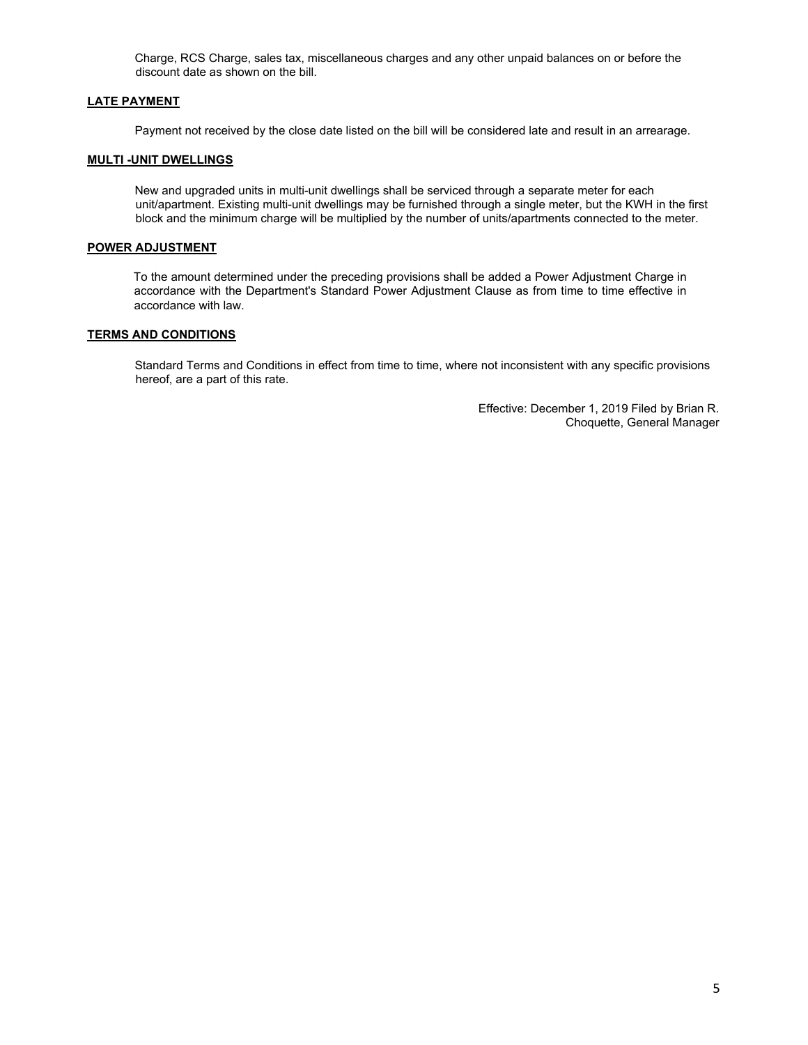Charge, RCS Charge, sales tax, miscellaneous charges and any other unpaid balances on or before the discount date as shown on the bill.

## **LATE PAYMENT**

Payment not received by the close date listed on the bill will be considered late and result in an arrearage.

## **MULTI -UNIT DWELLINGS**

New and upgraded units in multi-unit dwellings shall be serviced through a separate meter for each unit/apartment. Existing multi-unit dwellings may be furnished through a single meter, but the KWH in the first block and the minimum charge will be multiplied by the number of units/apartments connected to the meter.

## **POWER ADJUSTMENT**

To the amount determined under the preceding provisions shall be added a Power Adjustment Charge in accordance with the Department's Standard Power Adjustment Clause as from time to time effective in accordance with law.

### **TERMS AND CONDITIONS**

Standard Terms and Conditions in effect from time to time, where not inconsistent with any specific provisions hereof, are a part of this rate.

> Effective: December 1, 2019 Filed by Brian R. Choquette, General Manager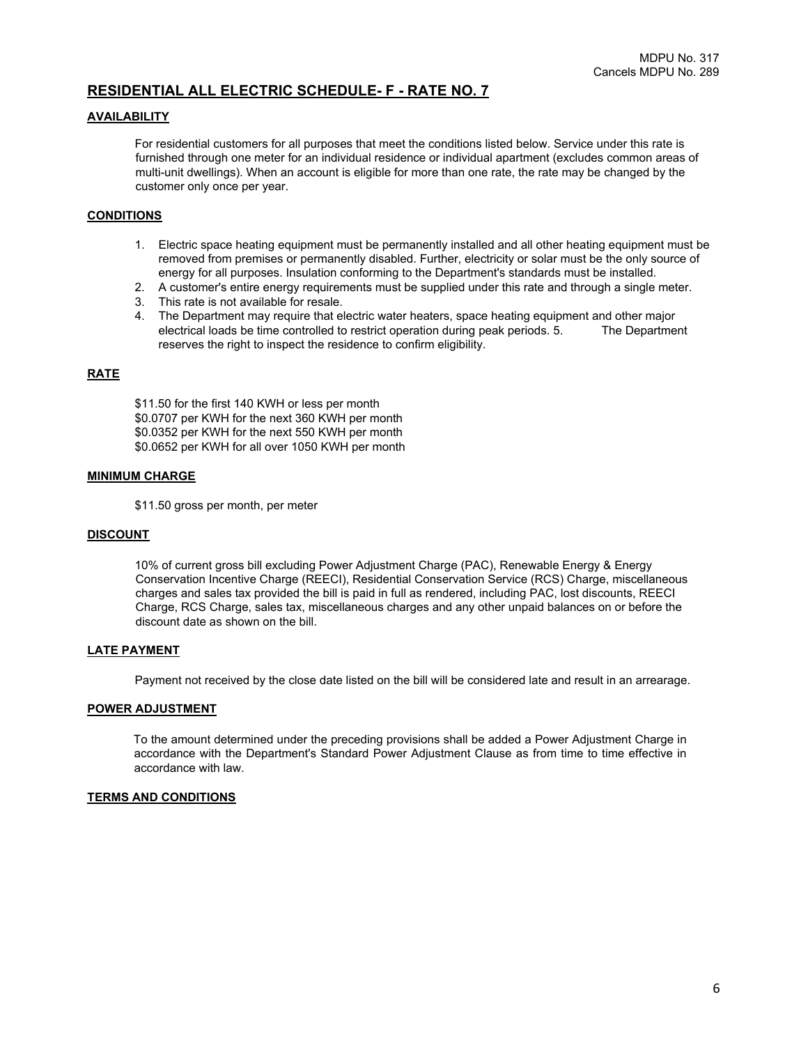# **RESIDENTIAL ALL ELECTRIC SCHEDULE- F - RATE NO. 7**

### **AVAILABILITY**

For residential customers for all purposes that meet the conditions listed below. Service under this rate is furnished through one meter for an individual residence or individual apartment (excludes common areas of multi-unit dwellings). When an account is eligible for more than one rate, the rate may be changed by the customer only once per year.

#### **CONDITIONS**

- 1. Electric space heating equipment must be permanently installed and all other heating equipment must be removed from premises or permanently disabled. Further, electricity or solar must be the only source of energy for all purposes. Insulation conforming to the Department's standards must be installed.
- 2. A customer's entire energy requirements must be supplied under this rate and through a single meter.
- 3. This rate is not available for resale.
- 4. The Department may require that electric water heaters, space heating equipment and other major electrical loads be time controlled to restrict operation during peak periods. 5. The Department reserves the right to inspect the residence to confirm eligibility.

### **RATE**

\$11.50 for the first 140 KWH or less per month \$0.0707 per KWH for the next 360 KWH per month \$0.0352 per KWH for the next 550 KWH per month \$0.0652 per KWH for all over 1050 KWH per month

#### **MINIMUM CHARGE**

\$11.50 gross per month, per meter

#### **DISCOUNT**

10% of current gross bill excluding Power Adjustment Charge (PAC), Renewable Energy & Energy Conservation Incentive Charge (REECI), Residential Conservation Service (RCS) Charge, miscellaneous charges and sales tax provided the bill is paid in full as rendered, including PAC, lost discounts, REECI Charge, RCS Charge, sales tax, miscellaneous charges and any other unpaid balances on or before the discount date as shown on the bill.

#### **LATE PAYMENT**

Payment not received by the close date listed on the bill will be considered late and result in an arrearage.

#### **POWER ADJUSTMENT**

To the amount determined under the preceding provisions shall be added a Power Adjustment Charge in accordance with the Department's Standard Power Adjustment Clause as from time to time effective in accordance with law.

#### **TERMS AND CONDITIONS**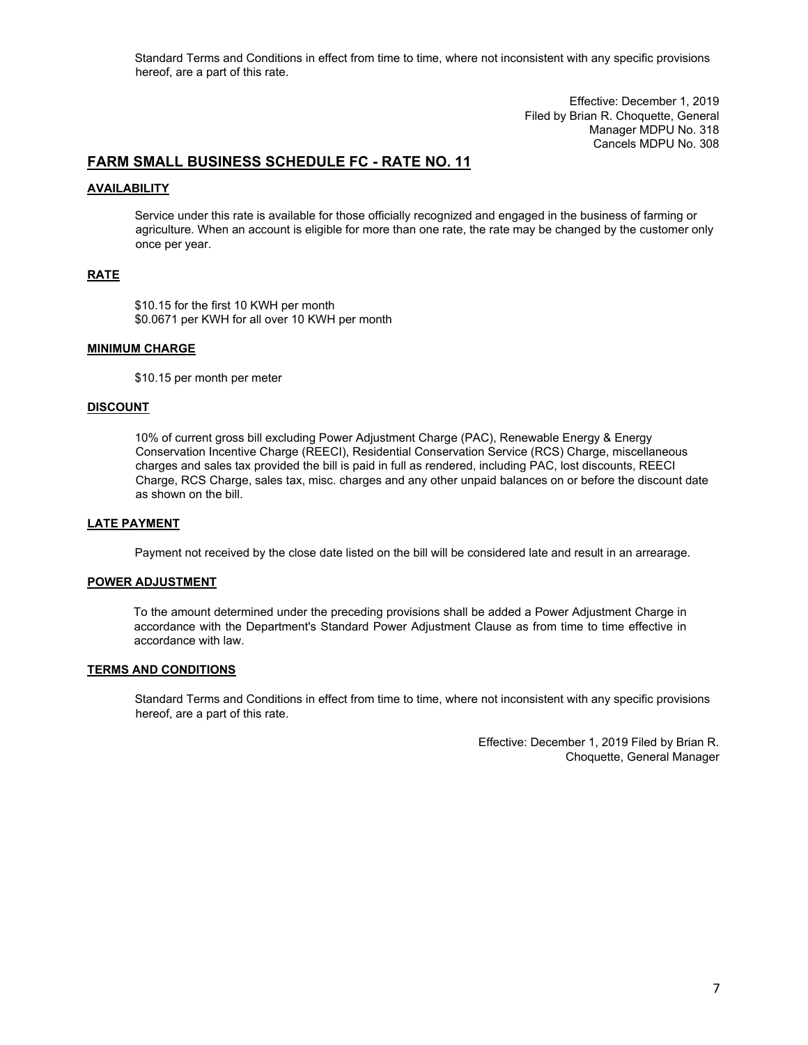Standard Terms and Conditions in effect from time to time, where not inconsistent with any specific provisions hereof, are a part of this rate.

> Effective: December 1, 2019 Filed by Brian R. Choquette, General Manager MDPU No. 318 Cancels MDPU No. 308

# **FARM SMALL BUSINESS SCHEDULE FC - RATE NO. 11**

### **AVAILABILITY**

Service under this rate is available for those officially recognized and engaged in the business of farming or agriculture. When an account is eligible for more than one rate, the rate may be changed by the customer only once per year.

# **RATE**

\$10.15 for the first 10 KWH per month \$0.0671 per KWH for all over 10 KWH per month

### **MINIMUM CHARGE**

\$10.15 per month per meter

#### **DISCOUNT**

10% of current gross bill excluding Power Adjustment Charge (PAC), Renewable Energy & Energy Conservation Incentive Charge (REECI), Residential Conservation Service (RCS) Charge, miscellaneous charges and sales tax provided the bill is paid in full as rendered, including PAC, lost discounts, REECI Charge, RCS Charge, sales tax, misc. charges and any other unpaid balances on or before the discount date as shown on the bill.

# **LATE PAYMENT**

Payment not received by the close date listed on the bill will be considered late and result in an arrearage.

#### **POWER ADJUSTMENT**

To the amount determined under the preceding provisions shall be added a Power Adjustment Charge in accordance with the Department's Standard Power Adjustment Clause as from time to time effective in accordance with law.

### **TERMS AND CONDITIONS**

Standard Terms and Conditions in effect from time to time, where not inconsistent with any specific provisions hereof, are a part of this rate.

> Effective: December 1, 2019 Filed by Brian R. Choquette, General Manager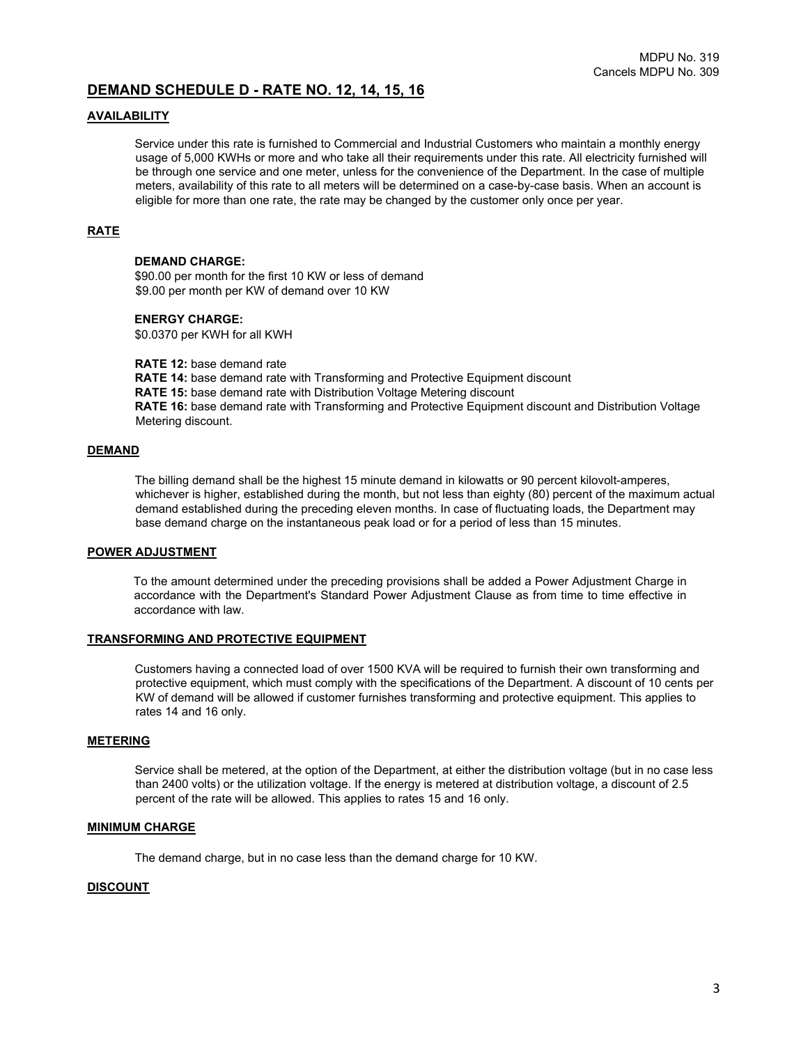# **DEMAND SCHEDULE D - RATE NO. 12, 14, 15, 16**

### **AVAILABILITY**

Service under this rate is furnished to Commercial and Industrial Customers who maintain a monthly energy usage of 5,000 KWHs or more and who take all their requirements under this rate. All electricity furnished will be through one service and one meter, unless for the convenience of the Department. In the case of multiple meters, availability of this rate to all meters will be determined on a case-by-case basis. When an account is eligible for more than one rate, the rate may be changed by the customer only once per year.

# **RATE**

# **DEMAND CHARGE:**

\$90.00 per month for the first 10 KW or less of demand \$9.00 per month per KW of demand over 10 KW

#### **ENERGY CHARGE:**

\$0.0370 per KWH for all KWH

**RATE 12:** base demand rate **RATE 14:** base demand rate with Transforming and Protective Equipment discount **RATE 15:** base demand rate with Distribution Voltage Metering discount **RATE 16:** base demand rate with Transforming and Protective Equipment discount and Distribution Voltage Metering discount.

#### **DEMAND**

The billing demand shall be the highest 15 minute demand in kilowatts or 90 percent kilovolt-amperes, whichever is higher, established during the month, but not less than eighty (80) percent of the maximum actual demand established during the preceding eleven months. In case of fluctuating loads, the Department may base demand charge on the instantaneous peak load or for a period of less than 15 minutes.

## **POWER ADJUSTMENT**

To the amount determined under the preceding provisions shall be added a Power Adjustment Charge in accordance with the Department's Standard Power Adjustment Clause as from time to time effective in accordance with law.

### **TRANSFORMING AND PROTECTIVE EQUIPMENT**

Customers having a connected load of over 1500 KVA will be required to furnish their own transforming and protective equipment, which must comply with the specifications of the Department. A discount of 10 cents per KW of demand will be allowed if customer furnishes transforming and protective equipment. This applies to rates 14 and 16 only.

#### **METERING**

Service shall be metered, at the option of the Department, at either the distribution voltage (but in no case less than 2400 volts) or the utilization voltage. If the energy is metered at distribution voltage, a discount of 2.5 percent of the rate will be allowed. This applies to rates 15 and 16 only.

# **MINIMUM CHARGE**

The demand charge, but in no case less than the demand charge for 10 KW.

#### **DISCOUNT**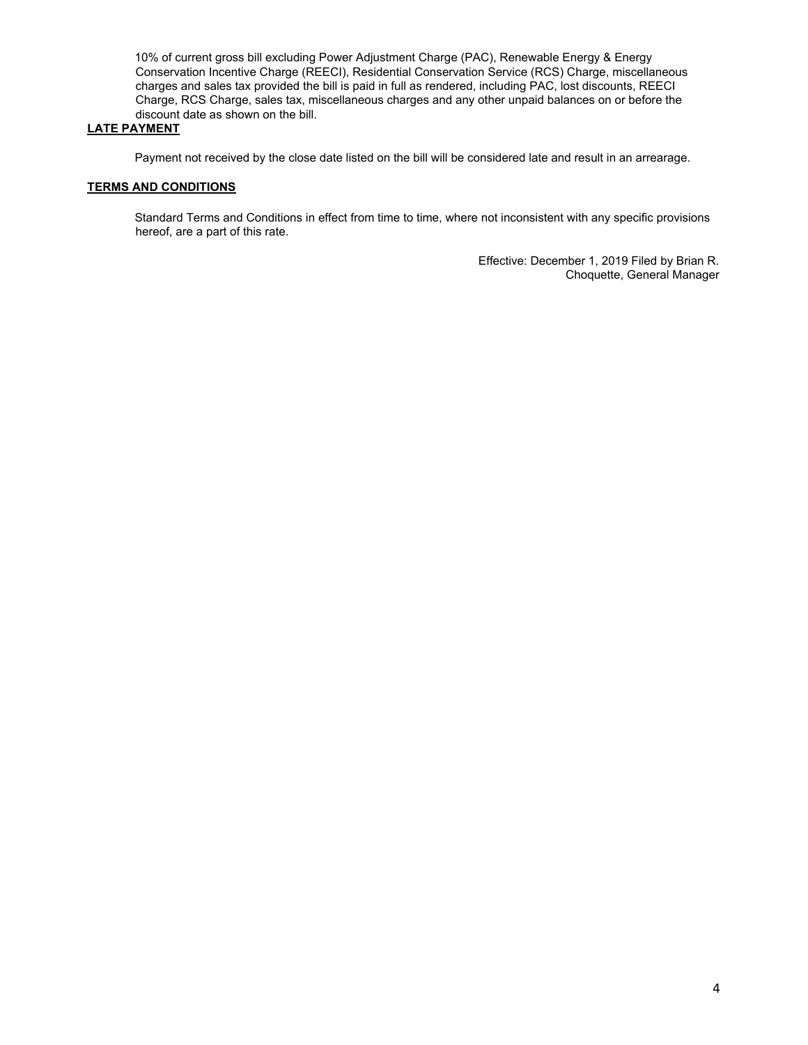10% of current gross bill excluding Power Adjustment Charge (PAC), Renewable Energy & Energy Conservation Incentive Charge (REECI), Residential Conservation Service (RCS) Charge, miscellaneous charges and sales tax provided the bill is paid in full as rendered, including PAC, lost discounts, REECI Charge, RCS Charge, sales tax, miscellaneous charges and any other unpaid balances on or before the discount date as shown on the bill.

# **LATE PAYMENT**

Payment not received by the close date listed on the bill will be considered late and result in an arrearage.

### **TERMS AND CONDITIONS**

Standard Terms and Conditions in effect from time to time, where not inconsistent with any specific provisions hereof, are a part of this rate.

> Effective: December 1, 2019 Filed by Brian R. Choquette, General Manager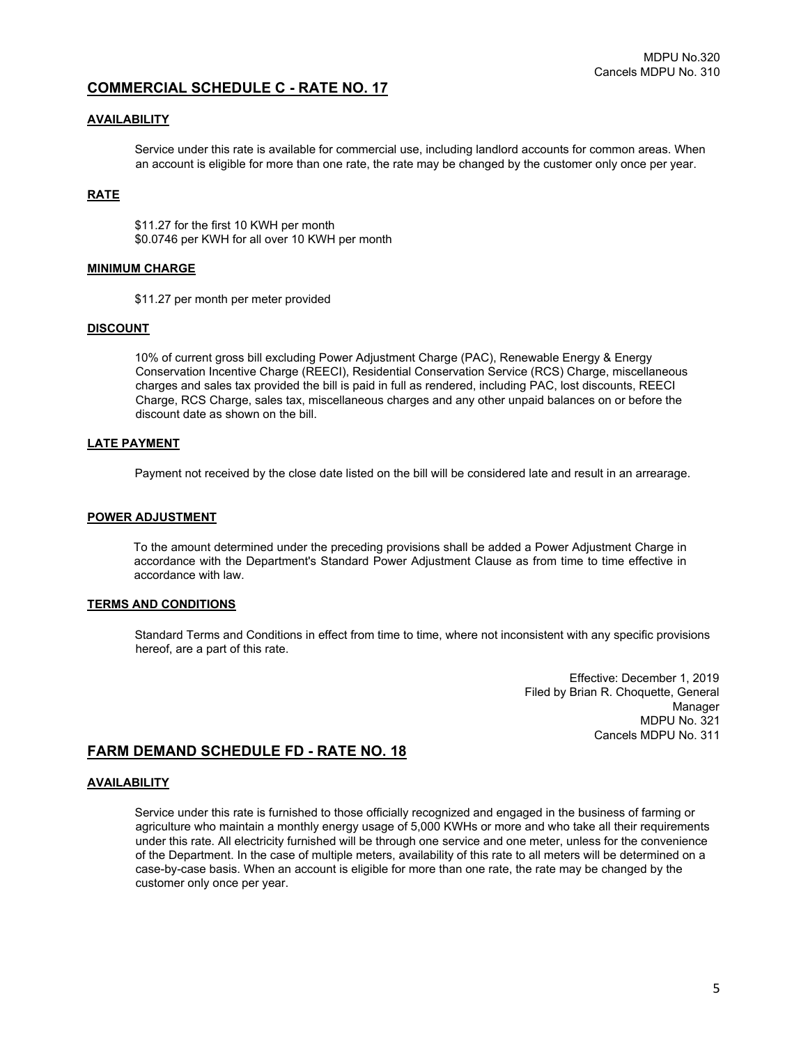# **COMMERCIAL SCHEDULE C - RATE NO. 17**

# **AVAILABILITY**

Service under this rate is available for commercial use, including landlord accounts for common areas. When an account is eligible for more than one rate, the rate may be changed by the customer only once per year.

# **RATE**

\$11.27 for the first 10 KWH per month \$0.0746 per KWH for all over 10 KWH per month

#### **MINIMUM CHARGE**

\$11.27 per month per meter provided

### **DISCOUNT**

10% of current gross bill excluding Power Adjustment Charge (PAC), Renewable Energy & Energy Conservation Incentive Charge (REECI), Residential Conservation Service (RCS) Charge, miscellaneous charges and sales tax provided the bill is paid in full as rendered, including PAC, lost discounts, REECI Charge, RCS Charge, sales tax, miscellaneous charges and any other unpaid balances on or before the discount date as shown on the bill.

# **LATE PAYMENT**

Payment not received by the close date listed on the bill will be considered late and result in an arrearage.

#### **POWER ADJUSTMENT**

To the amount determined under the preceding provisions shall be added a Power Adjustment Charge in accordance with the Department's Standard Power Adjustment Clause as from time to time effective in accordance with law.

#### **TERMS AND CONDITIONS**

Standard Terms and Conditions in effect from time to time, where not inconsistent with any specific provisions hereof, are a part of this rate.

Effective: December 1, 2019 Filed by Brian R. Choquette, General Manager Manager<br>MDPU No. 321 Cancels MDPU No. 311

# **FARM DEMAND SCHEDULE FD - RATE NO. 18**

#### **AVAILABILITY**

Service under this rate is furnished to those officially recognized and engaged in the business of farming or agriculture who maintain a monthly energy usage of 5,000 KWHs or more and who take all their requirements under this rate. All electricity furnished will be through one service and one meter, unless for the convenience of the Department. In the case of multiple meters, availability of this rate to all meters will be determined on a case-by-case basis. When an account is eligible for more than one rate, the rate may be changed by the customer only once per year.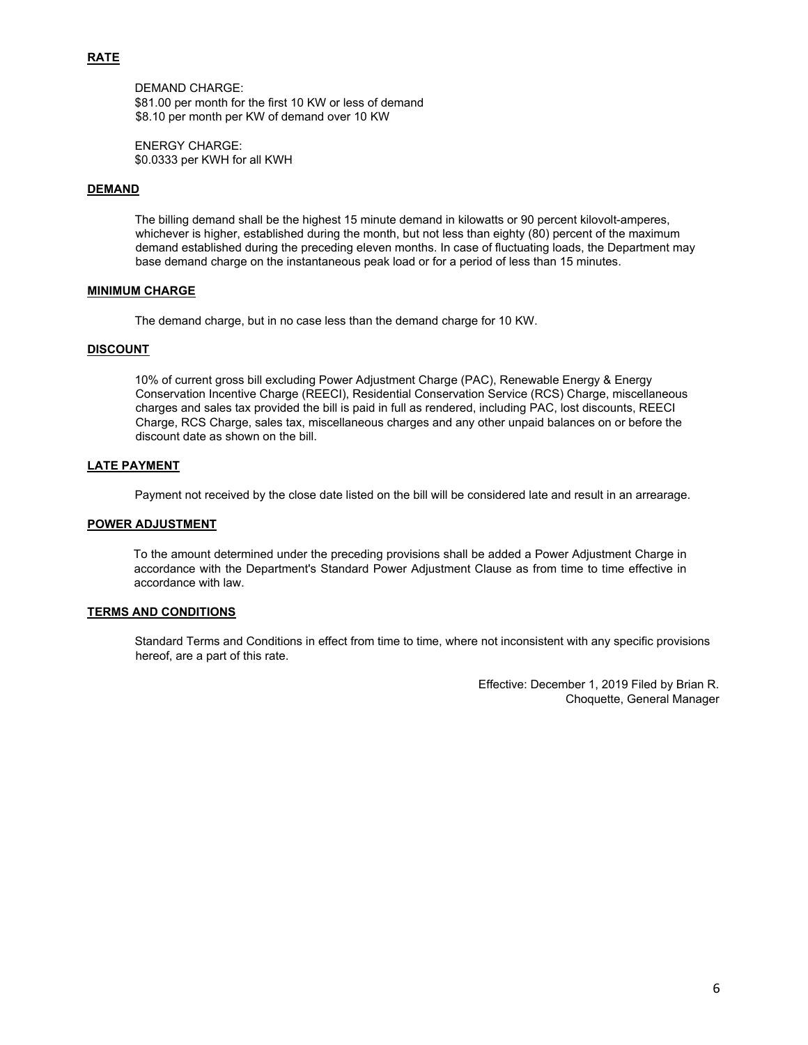# **RATE**

DEMAND CHARGE: \$81.00 per month for the first 10 KW or less of demand \$8.10 per month per KW of demand over 10 KW

ENERGY CHARGE: \$0.0333 per KWH for all KWH

# **DEMAND**

The billing demand shall be the highest 15 minute demand in kilowatts or 90 percent kilovolt-amperes, whichever is higher, established during the month, but not less than eighty (80) percent of the maximum demand established during the preceding eleven months. In case of fluctuating loads, the Department may base demand charge on the instantaneous peak load or for a period of less than 15 minutes.

## **MINIMUM CHARGE**

The demand charge, but in no case less than the demand charge for 10 KW.

#### **DISCOUNT**

10% of current gross bill excluding Power Adjustment Charge (PAC), Renewable Energy & Energy Conservation Incentive Charge (REECI), Residential Conservation Service (RCS) Charge, miscellaneous charges and sales tax provided the bill is paid in full as rendered, including PAC, lost discounts, REECI Charge, RCS Charge, sales tax, miscellaneous charges and any other unpaid balances on or before the discount date as shown on the bill.

# **LATE PAYMENT**

Payment not received by the close date listed on the bill will be considered late and result in an arrearage.

#### **POWER ADJUSTMENT**

To the amount determined under the preceding provisions shall be added a Power Adjustment Charge in accordance with the Department's Standard Power Adjustment Clause as from time to time effective in accordance with law.

### **TERMS AND CONDITIONS**

Standard Terms and Conditions in effect from time to time, where not inconsistent with any specific provisions hereof, are a part of this rate.

> Effective: December 1, 2019 Filed by Brian R. Choquette, General Manager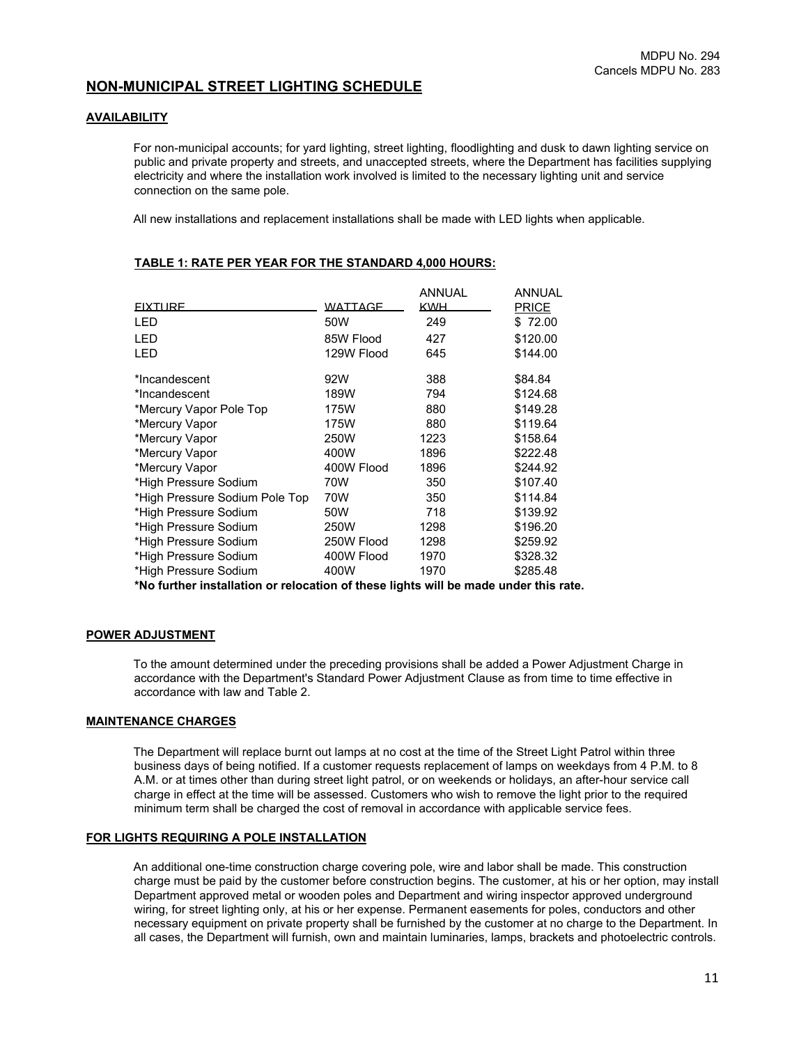# **NON-MUNICIPAL STREET LIGHTING SCHEDULE**

#### **AVAILABILITY**

For non-municipal accounts; for yard lighting, street lighting, floodlighting and dusk to dawn lighting service on public and private property and streets, and unaccepted streets, where the Department has facilities supplying electricity and where the installation work involved is limited to the necessary lighting unit and service connection on the same pole.

All new installations and replacement installations shall be made with LED lights when applicable.

|                                |                | <b>ANNUAL</b> | ANNUAL       |
|--------------------------------|----------------|---------------|--------------|
| <b>FIXTURE</b>                 | <b>WATTAGE</b> | <b>KWH</b>    | <b>PRICE</b> |
| LED                            | 50W            | 249           | \$72.00      |
| LED                            | 85W Flood      | 427           | \$120.00     |
| LED                            | 129W Flood     | 645           | \$144.00     |
| *Incandescent                  | 92W            | 388           | \$84.84      |
| *Incandescent                  | 189W           | 794           | \$124.68     |
| *Mercury Vapor Pole Top        | 175W           | 880           | \$149.28     |
| *Mercury Vapor                 | 175W           | 880           | \$119.64     |
| *Mercury Vapor                 | 250W           | 1223          | \$158.64     |
| *Mercury Vapor                 | 400W           | 1896          | \$222.48     |
| *Mercury Vapor                 | 400W Flood     | 1896          | \$244.92     |
| *High Pressure Sodium          | 70W            | 350           | \$107.40     |
| *High Pressure Sodium Pole Top | 70W            | 350           | \$114.84     |
| *High Pressure Sodium          | 50W            | 718           | \$139.92     |
| *High Pressure Sodium          | <b>250W</b>    | 1298          | \$196.20     |
| *High Pressure Sodium          | 250W Flood     | 1298          | \$259.92     |
| *High Pressure Sodium          | 400W Flood     | 1970          | \$328.32     |
| *High Pressure Sodium          | 400W           | 1970          | \$285.48     |

#### **TABLE 1: RATE PER YEAR FOR THE STANDARD 4,000 HOURS:**

**\*No further installation or relocation of these lights will be made under this rate.**

### **POWER ADJUSTMENT**

To the amount determined under the preceding provisions shall be added a Power Adjustment Charge in accordance with the Department's Standard Power Adjustment Clause as from time to time effective in accordance with law and Table 2.

#### **MAINTENANCE CHARGES**

The Department will replace burnt out lamps at no cost at the time of the Street Light Patrol within three business days of being notified. If a customer requests replacement of lamps on weekdays from 4 P.M. to 8 A.M. or at times other than during street light patrol, or on weekends or holidays, an after-hour service call charge in effect at the time will be assessed. Customers who wish to remove the light prior to the required minimum term shall be charged the cost of removal in accordance with applicable service fees.

#### **FOR LIGHTS REQUIRING A POLE INSTALLATION**

An additional one-time construction charge covering pole, wire and labor shall be made. This construction charge must be paid by the customer before construction begins. The customer, at his or her option, may install Department approved metal or wooden poles and Department and wiring inspector approved underground wiring, for street lighting only, at his or her expense. Permanent easements for poles, conductors and other necessary equipment on private property shall be furnished by the customer at no charge to the Department. In all cases, the Department will furnish, own and maintain luminaries, lamps, brackets and photoelectric controls.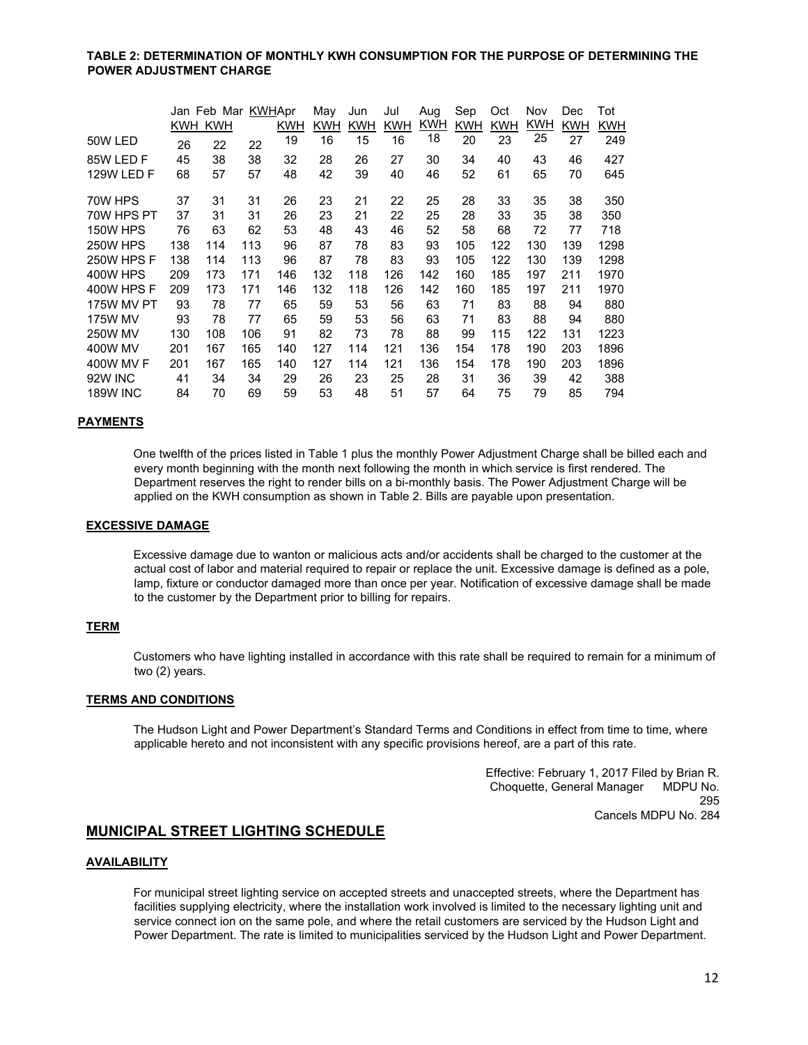#### **TABLE 2: DETERMINATION OF MONTHLY KWH CONSUMPTION FOR THE PURPOSE OF DETERMINING THE POWER ADJUSTMENT CHARGE**

|                   |     | Jan Feb Mar KWHApr |     |            | May | Jun        | Jul        | Aug        | Sep        | Oct        | Nov | Dec        | Tot        |
|-------------------|-----|--------------------|-----|------------|-----|------------|------------|------------|------------|------------|-----|------------|------------|
|                   |     | KWH KWH            |     | <b>KWH</b> | KWH | <b>KWH</b> | <b>KWH</b> | <b>KWH</b> | <b>KWH</b> | <b>KWH</b> | KWH | <b>KWH</b> | <b>KWH</b> |
| 50W LED           | 26  | 22                 | 22  | 19         | 16  | 15         | 16         | 18         | 20         | 23         | 25  | 27         | 249        |
| 85W LED F         | 45  | 38                 | 38  | 32         | 28  | 26         | 27         | 30         | 34         | 40         | 43  | 46         | 427        |
| 129W LED F        | 68  | 57                 | 57  | 48         | 42  | 39         | 40         | 46         | 52         | 61         | 65  | 70         | 645        |
| 70W HPS           | 37  | 31                 | 31  | 26         | 23  | 21         | 22         | 25         | 28         | 33         | 35  | 38         | 350        |
| 70W HPS PT        | 37  | 31                 | 31  | 26         | 23  | 21         | 22         | 25         | 28         | 33         | 35  | 38         | 350        |
| <b>150W HPS</b>   | 76  | 63                 | 62  | 53         | 48  | 43         | 46         | 52         | 58         | 68         | 72  | 77         | 718        |
| 250W HPS          | 138 | 114                | 113 | 96         | 87  | 78         | 83         | 93         | 105        | 122        | 130 | 139        | 1298       |
| 250W HPS F        | 138 | 114                | 113 | 96         | 87  | 78         | 83         | 93         | 105        | 122        | 130 | 139        | 1298       |
| <b>400W HPS</b>   | 209 | 173                | 171 | 146        | 132 | 118        | 126        | 142        | 160        | 185        | 197 | 211        | 1970       |
| 400W HPS F        | 209 | 173                | 171 | 146        | 132 | 118        | 126        | 142        | 160        | 185        | 197 | 211        | 1970       |
| <b>175W MV PT</b> | 93  | 78                 | 77  | 65         | 59  | 53         | 56         | 63         | 71         | 83         | 88  | 94         | 880        |
| <b>175W MV</b>    | 93  | 78                 | 77  | 65         | 59  | 53         | 56         | 63         | 71         | 83         | 88  | 94         | 880        |
| <b>250W MV</b>    | 130 | 108                | 106 | 91         | 82  | 73         | 78         | 88         | 99         | 115        | 122 | 131        | 1223       |
| 400W MV           | 201 | 167                | 165 | 140        | 127 | 114        | 121        | 136        | 154        | 178        | 190 | 203        | 1896       |
| 400W MV F         | 201 | 167                | 165 | 140        | 127 | 114        | 121        | 136        | 154        | 178        | 190 | 203        | 1896       |
| 92W INC           | 41  | 34                 | 34  | 29         | 26  | 23         | 25         | 28         | 31         | 36         | 39  | 42         | 388        |
| <b>189W INC</b>   | 84  | 70                 | 69  | 59         | 53  | 48         | 51         | 57         | 64         | 75         | 79  | 85         | 794        |

# **PAYMENTS**

One twelfth of the prices listed in Table 1 plus the monthly Power Adjustment Charge shall be billed each and every month beginning with the month next following the month in which service is first rendered. The Department reserves the right to render bills on a bi-monthly basis. The Power Adjustment Charge will be applied on the KWH consumption as shown in Table 2. Bills are payable upon presentation.

#### **EXCESSIVE DAMAGE**

Excessive damage due to wanton or malicious acts and/or accidents shall be charged to the customer at the actual cost of labor and material required to repair or replace the unit. Excessive damage is defined as a pole, lamp, fixture or conductor damaged more than once per year. Notification of excessive damage shall be made to the customer by the Department prior to billing for repairs.

#### **TERM**

Customers who have lighting installed in accordance with this rate shall be required to remain for a minimum of two (2) years.

#### **TERMS AND CONDITIONS**

The Hudson Light and Power Department's Standard Terms and Conditions in effect from time to time, where applicable hereto and not inconsistent with any specific provisions hereof, are a part of this rate.

> Effective: February 1, 2017 Filed by Brian R. Choquette, General Manager MDPU No. 295 Cancels MDPU No. 284

# **MUNICIPAL STREET LIGHTING SCHEDULE**

### **AVAILABILITY**

For municipal street lighting service on accepted streets and unaccepted streets, where the Department has facilities supplying electricity, where the installation work involved is limited to the necessary lighting unit and service connect ion on the same pole, and where the retail customers are serviced by the Hudson Light and Power Department. The rate is limited to municipalities serviced by the Hudson Light and Power Department.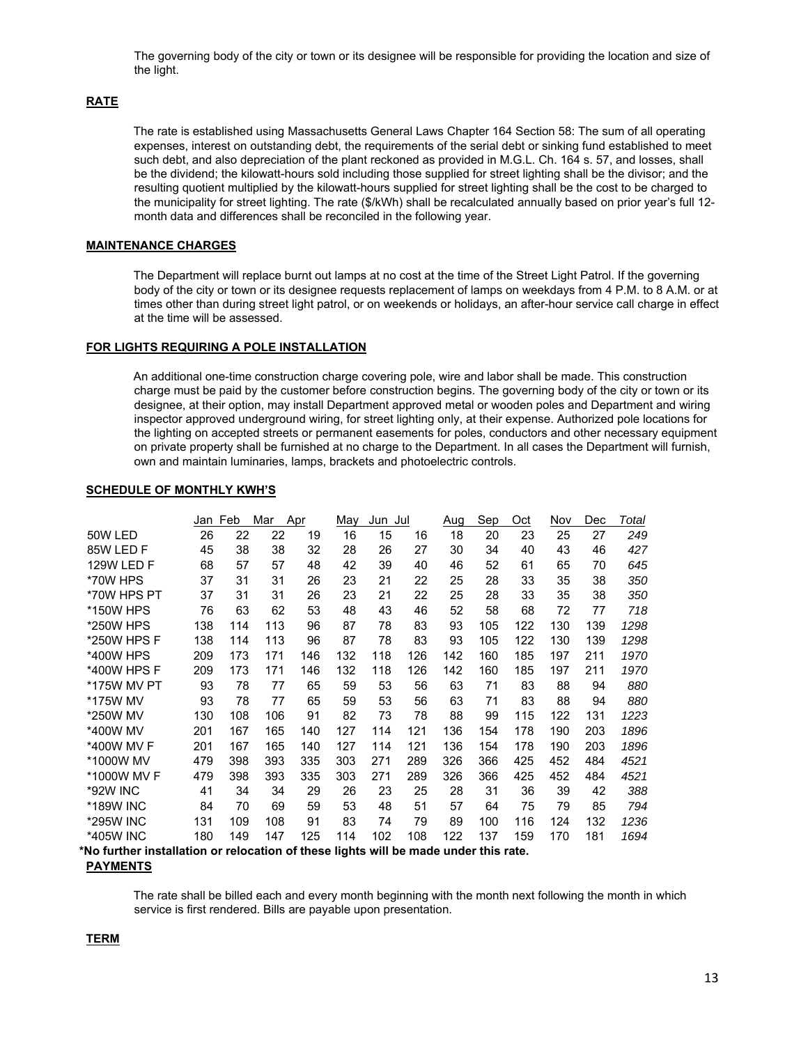The governing body of the city or town or its designee will be responsible for providing the location and size of the light.

### **RATE**

The rate is established using Massachusetts General Laws Chapter 164 Section 58: The sum of all operating expenses, interest on outstanding debt, the requirements of the serial debt or sinking fund established to meet such debt, and also depreciation of the plant reckoned as provided in M.G.L. Ch. 164 s. 57, and losses, shall be the dividend; the kilowatt-hours sold including those supplied for street lighting shall be the divisor; and the resulting quotient multiplied by the kilowatt-hours supplied for street lighting shall be the cost to be charged to the municipality for street lighting. The rate (\$/kWh) shall be recalculated annually based on prior year's full 12 month data and differences shall be reconciled in the following year.

# **MAINTENANCE CHARGES**

The Department will replace burnt out lamps at no cost at the time of the Street Light Patrol. If the governing body of the city or town or its designee requests replacement of lamps on weekdays from 4 P.M. to 8 A.M. or at times other than during street light patrol, or on weekends or holidays, an after-hour service call charge in effect at the time will be assessed.

### **FOR LIGHTS REQUIRING A POLE INSTALLATION**

An additional one-time construction charge covering pole, wire and labor shall be made. This construction charge must be paid by the customer before construction begins. The governing body of the city or town or its designee, at their option, may install Department approved metal or wooden poles and Department and wiring inspector approved underground wiring, for street lighting only, at their expense. Authorized pole locations for the lighting on accepted streets or permanent easements for poles, conductors and other necessary equipment on private property shall be furnished at no charge to the Department. In all cases the Department will furnish, own and maintain luminaries, lamps, brackets and photoelectric controls.

#### **SCHEDULE OF MONTHLY KWH'S**

|                   | Jan Feb |     | Mar | Apr | <u>Мау</u> | Jun Jul |     | Aug | <b>Sep</b> | Qct | Nov | Dec | <b>Total</b> |
|-------------------|---------|-----|-----|-----|------------|---------|-----|-----|------------|-----|-----|-----|--------------|
| 50W LED           | 26      | 22  | 22  | 19  | 16         | 15      | 16  | 18  | 20         | 23  | 25  | 27  | 249          |
| 85W I FD F        | 45      | 38  | 38  | 32  | 28         | 26      | 27  | 30  | 34         | 40  | 43  | 46  | 427          |
| <b>129W LED F</b> | 68      | 57  | 57  | 48  | 42         | 39      | 40  | 46  | 52         | 61  | 65  | 70  | 645          |
| *70W HPS          | 37      | 31  | 31  | 26  | 23         | 21      | 22  | 25  | 28         | 33  | 35  | 38  | 350          |
| *70W HPS PT       | 37      | 31  | 31  | 26  | 23         | 21      | 22  | 25  | 28         | 33  | 35  | 38  | 350          |
| *150W HPS         | 76      | 63  | 62  | 53  | 48         | 43      | 46  | 52  | 58         | 68  | 72  | 77  | 718          |
| *250W HPS         | 138     | 114 | 113 | 96  | 87         | 78      | 83  | 93  | 105        | 122 | 130 | 139 | 1298         |
| *250W HPS F       | 138     | 114 | 113 | 96  | 87         | 78      | 83  | 93  | 105        | 122 | 130 | 139 | 1298         |
| *400W HPS         | 209     | 173 | 171 | 146 | 132        | 118     | 126 | 142 | 160        | 185 | 197 | 211 | 1970         |
| *400W HPS F       | 209     | 173 | 171 | 146 | 132        | 118     | 126 | 142 | 160        | 185 | 197 | 211 | 1970         |
| *175W MV PT       | 93      | 78  | 77  | 65  | 59         | 53      | 56  | 63  | 71         | 83  | 88  | 94  | 880          |
| *175W MV          | 93      | 78  | 77  | 65  | 59         | 53      | 56  | 63  | 71         | 83  | 88  | 94  | 880          |
| *250W MV          | 130     | 108 | 106 | 91  | 82         | 73      | 78  | 88  | 99         | 115 | 122 | 131 | 1223         |
| *400W MV          | 201     | 167 | 165 | 140 | 127        | 114     | 121 | 136 | 154        | 178 | 190 | 203 | 1896         |
| *400W MV F        | 201     | 167 | 165 | 140 | 127        | 114     | 121 | 136 | 154        | 178 | 190 | 203 | 1896         |
| *1000W MV         | 479     | 398 | 393 | 335 | 303        | 271     | 289 | 326 | 366        | 425 | 452 | 484 | 4521         |
| *1000W MV F       | 479     | 398 | 393 | 335 | 303        | 271     | 289 | 326 | 366        | 425 | 452 | 484 | 4521         |
| *92W INC          | 41      | 34  | 34  | 29  | 26         | 23      | 25  | 28  | 31         | 36  | 39  | 42  | 388          |
| *189W INC         | 84      | 70  | 69  | 59  | 53         | 48      | 51  | 57  | 64         | 75  | 79  | 85  | 794          |
| *295W INC         | 131     | 109 | 108 | 91  | 83         | 74      | 79  | 89  | 100        | 116 | 124 | 132 | 1236         |
| *405W INC         | 180     | 149 | 147 | 125 | 114        | 102     | 108 | 122 | 137        | 159 | 170 | 181 | 1694         |
|                   |         |     |     |     |            |         |     |     |            |     |     |     |              |

**\*No further installation or relocation of these lights will be made under this rate.**

#### **PAYMENTS**

The rate shall be billed each and every month beginning with the month next following the month in which service is first rendered. Bills are payable upon presentation.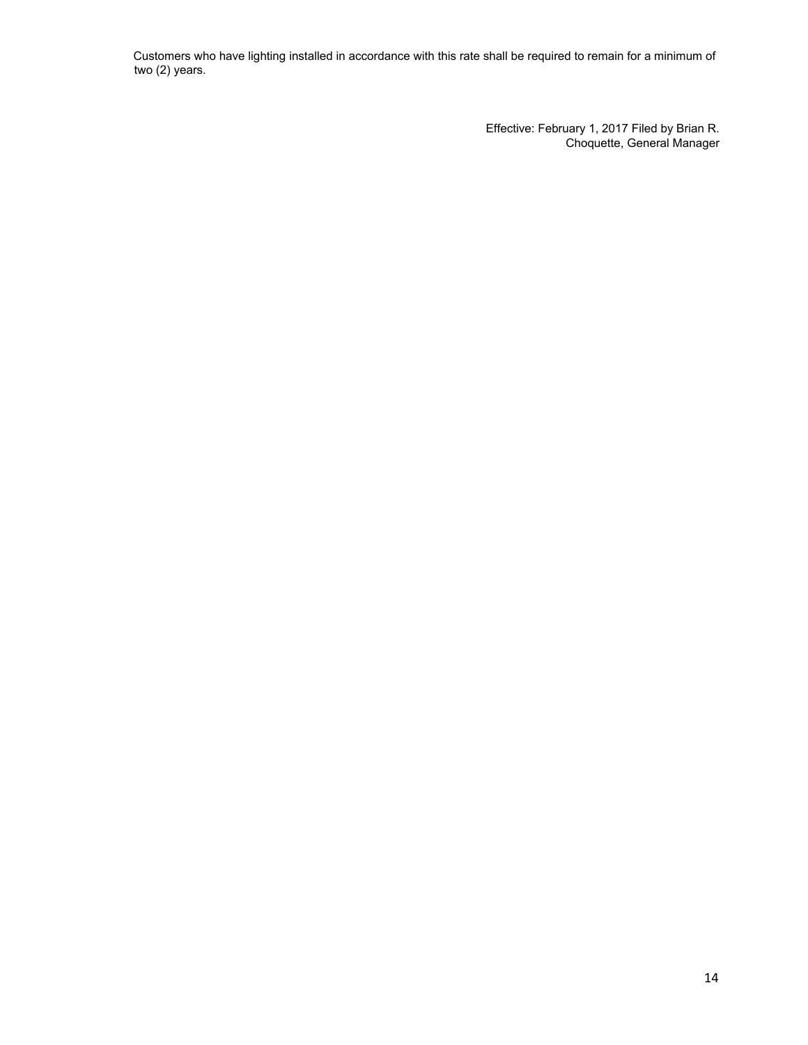Customers who have lighting installed in accordance with this rate shall be required to remain for a minimum of two (2) years.

> Effective: February 1, 2017 Filed by Brian R. Choquette, General Manager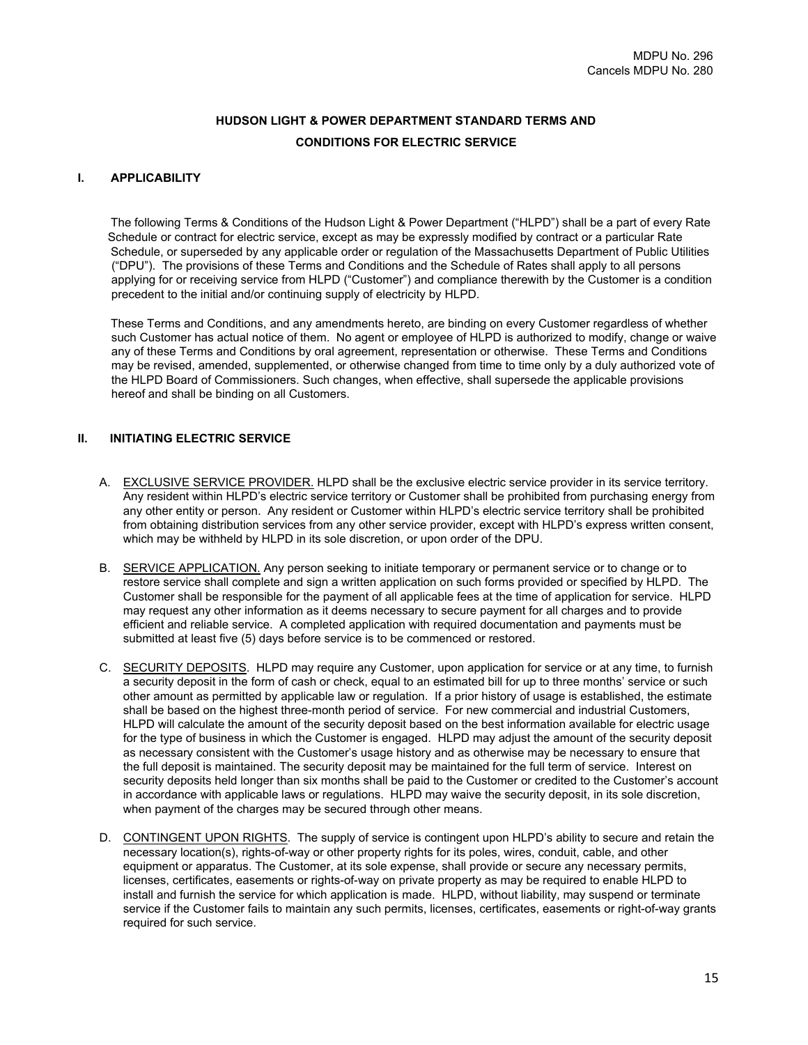# **HUDSON LIGHT & POWER DEPARTMENT STANDARD TERMS AND CONDITIONS FOR ELECTRIC SERVICE**

# **I. APPLICABILITY**

The following Terms & Conditions of the Hudson Light & Power Department ("HLPD") shall be a part of every Rate Schedule or contract for electric service, except as may be expressly modified by contract or a particular Rate Schedule, or superseded by any applicable order or regulation of the Massachusetts Department of Public Utilities ("DPU"). The provisions of these Terms and Conditions and the Schedule of Rates shall apply to all persons applying for or receiving service from HLPD ("Customer") and compliance therewith by the Customer is a condition precedent to the initial and/or continuing supply of electricity by HLPD.

These Terms and Conditions, and any amendments hereto, are binding on every Customer regardless of whether such Customer has actual notice of them. No agent or employee of HLPD is authorized to modify, change or waive any of these Terms and Conditions by oral agreement, representation or otherwise. These Terms and Conditions may be revised, amended, supplemented, or otherwise changed from time to time only by a duly authorized vote of the HLPD Board of Commissioners. Such changes, when effective, shall supersede the applicable provisions hereof and shall be binding on all Customers.

# **II. INITIATING ELECTRIC SERVICE**

- A. EXCLUSIVE SERVICE PROVIDER. HLPD shall be the exclusive electric service provider in its service territory. Any resident within HLPD's electric service territory or Customer shall be prohibited from purchasing energy from any other entity or person. Any resident or Customer within HLPD's electric service territory shall be prohibited from obtaining distribution services from any other service provider, except with HLPD's express written consent, which may be withheld by HLPD in its sole discretion, or upon order of the DPU.
- B. SERVICE APPLICATION. Any person seeking to initiate temporary or permanent service or to change or to restore service shall complete and sign a written application on such forms provided or specified by HLPD. The Customer shall be responsible for the payment of all applicable fees at the time of application for service. HLPD may request any other information as it deems necessary to secure payment for all charges and to provide efficient and reliable service. A completed application with required documentation and payments must be submitted at least five (5) days before service is to be commenced or restored.
- C. SECURITY DEPOSITS. HLPD may require any Customer, upon application for service or at any time, to furnish a security deposit in the form of cash or check, equal to an estimated bill for up to three months' service or such other amount as permitted by applicable law or regulation. If a prior history of usage is established, the estimate shall be based on the highest three-month period of service. For new commercial and industrial Customers, HLPD will calculate the amount of the security deposit based on the best information available for electric usage for the type of business in which the Customer is engaged. HLPD may adjust the amount of the security deposit as necessary consistent with the Customer's usage history and as otherwise may be necessary to ensure that the full deposit is maintained. The security deposit may be maintained for the full term of service. Interest on security deposits held longer than six months shall be paid to the Customer or credited to the Customer's account in accordance with applicable laws or regulations. HLPD may waive the security deposit, in its sole discretion, when payment of the charges may be secured through other means.
- D. CONTINGENT UPON RIGHTS. The supply of service is contingent upon HLPD's ability to secure and retain the necessary location(s), rights-of-way or other property rights for its poles, wires, conduit, cable, and other equipment or apparatus. The Customer, at its sole expense, shall provide or secure any necessary permits, licenses, certificates, easements or rights-of-way on private property as may be required to enable HLPD to install and furnish the service for which application is made. HLPD, without liability, may suspend or terminate service if the Customer fails to maintain any such permits, licenses, certificates, easements or right-of-way grants required for such service.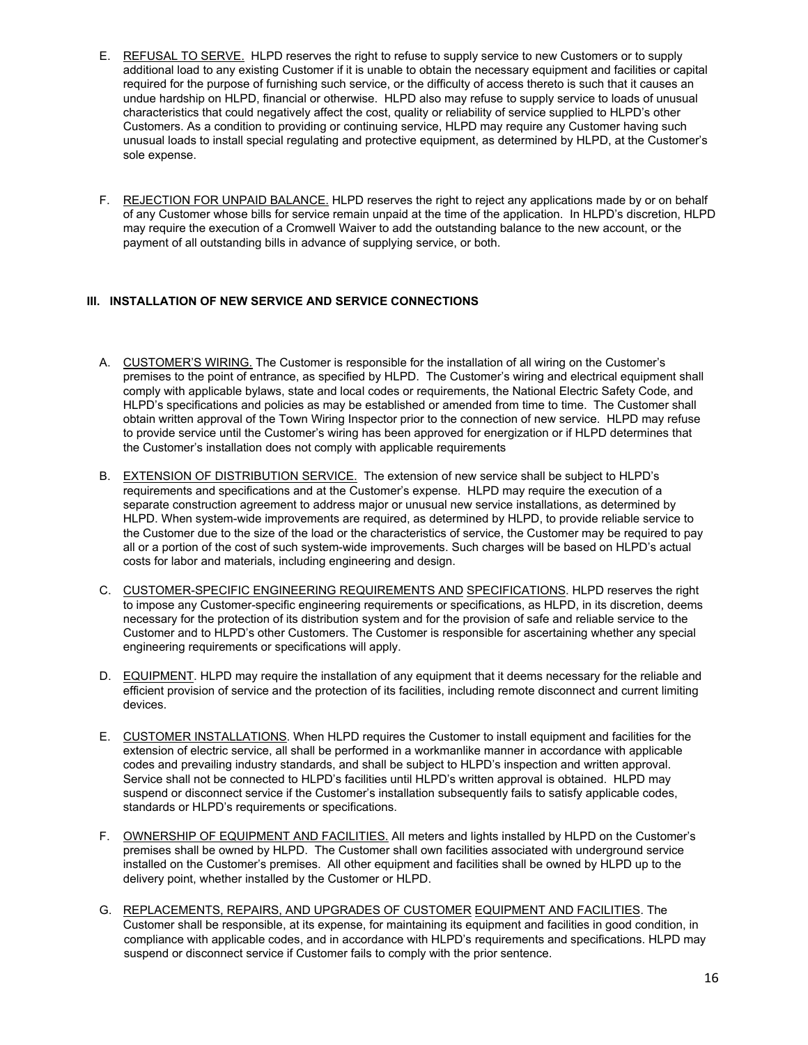- E. REFUSAL TO SERVE. HLPD reserves the right to refuse to supply service to new Customers or to supply additional load to any existing Customer if it is unable to obtain the necessary equipment and facilities or capital required for the purpose of furnishing such service, or the difficulty of access thereto is such that it causes an undue hardship on HLPD, financial or otherwise. HLPD also may refuse to supply service to loads of unusual characteristics that could negatively affect the cost, quality or reliability of service supplied to HLPD's other Customers. As a condition to providing or continuing service, HLPD may require any Customer having such unusual loads to install special regulating and protective equipment, as determined by HLPD, at the Customer's sole expense.
- F. REJECTION FOR UNPAID BALANCE. HLPD reserves the right to reject any applications made by or on behalf of any Customer whose bills for service remain unpaid at the time of the application. In HLPD's discretion, HLPD may require the execution of a Cromwell Waiver to add the outstanding balance to the new account, or the payment of all outstanding bills in advance of supplying service, or both.

# **III. INSTALLATION OF NEW SERVICE AND SERVICE CONNECTIONS**

- A. CUSTOMER'S WIRING. The Customer is responsible for the installation of all wiring on the Customer's premises to the point of entrance, as specified by HLPD. The Customer's wiring and electrical equipment shall comply with applicable bylaws, state and local codes or requirements, the National Electric Safety Code, and HLPD's specifications and policies as may be established or amended from time to time. The Customer shall obtain written approval of the Town Wiring Inspector prior to the connection of new service. HLPD may refuse to provide service until the Customer's wiring has been approved for energization or if HLPD determines that the Customer's installation does not comply with applicable requirements
- B. EXTENSION OF DISTRIBUTION SERVICE. The extension of new service shall be subject to HLPD's requirements and specifications and at the Customer's expense. HLPD may require the execution of a separate construction agreement to address major or unusual new service installations, as determined by HLPD. When system-wide improvements are required, as determined by HLPD, to provide reliable service to the Customer due to the size of the load or the characteristics of service, the Customer may be required to pay all or a portion of the cost of such system-wide improvements. Such charges will be based on HLPD's actual costs for labor and materials, including engineering and design.
- C. CUSTOMER-SPECIFIC ENGINEERING REQUIREMENTS AND SPECIFICATIONS. HLPD reserves the right to impose any Customer-specific engineering requirements or specifications, as HLPD, in its discretion, deems necessary for the protection of its distribution system and for the provision of safe and reliable service to the Customer and to HLPD's other Customers. The Customer is responsible for ascertaining whether any special engineering requirements or specifications will apply.
- D. EQUIPMENT. HLPD may require the installation of any equipment that it deems necessary for the reliable and efficient provision of service and the protection of its facilities, including remote disconnect and current limiting devices.
- E. CUSTOMER INSTALLATIONS. When HLPD requires the Customer to install equipment and facilities for the extension of electric service, all shall be performed in a workmanlike manner in accordance with applicable codes and prevailing industry standards, and shall be subject to HLPD's inspection and written approval. Service shall not be connected to HLPD's facilities until HLPD's written approval is obtained. HLPD may suspend or disconnect service if the Customer's installation subsequently fails to satisfy applicable codes, standards or HLPD's requirements or specifications.
- F. OWNERSHIP OF EQUIPMENT AND FACILITIES. All meters and lights installed by HLPD on the Customer's premises shall be owned by HLPD. The Customer shall own facilities associated with underground service installed on the Customer's premises. All other equipment and facilities shall be owned by HLPD up to the delivery point, whether installed by the Customer or HLPD.
- G. REPLACEMENTS, REPAIRS, AND UPGRADES OF CUSTOMER EQUIPMENT AND FACILITIES. The Customer shall be responsible, at its expense, for maintaining its equipment and facilities in good condition, in compliance with applicable codes, and in accordance with HLPD's requirements and specifications. HLPD may suspend or disconnect service if Customer fails to comply with the prior sentence.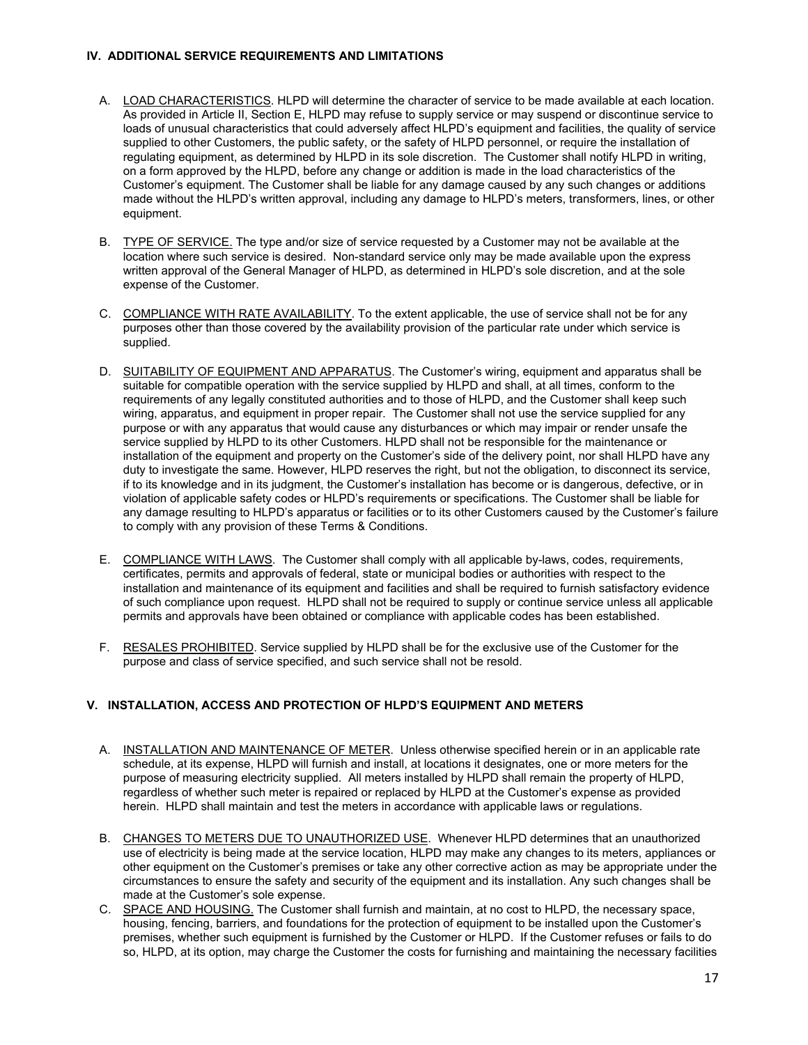### **IV. ADDITIONAL SERVICE REQUIREMENTS AND LIMITATIONS**

- A. LOAD CHARACTERISTICS. HLPD will determine the character of service to be made available at each location. As provided in Article II, Section E, HLPD may refuse to supply service or may suspend or discontinue service to loads of unusual characteristics that could adversely affect HLPD's equipment and facilities, the quality of service supplied to other Customers, the public safety, or the safety of HLPD personnel, or require the installation of regulating equipment, as determined by HLPD in its sole discretion. The Customer shall notify HLPD in writing, on a form approved by the HLPD, before any change or addition is made in the load characteristics of the Customer's equipment. The Customer shall be liable for any damage caused by any such changes or additions made without the HLPD's written approval, including any damage to HLPD's meters, transformers, lines, or other equipment.
- B. TYPE OF SERVICE. The type and/or size of service requested by a Customer may not be available at the location where such service is desired. Non-standard service only may be made available upon the express written approval of the General Manager of HLPD, as determined in HLPD's sole discretion, and at the sole expense of the Customer.
- C. COMPLIANCE WITH RATE AVAILABILITY. To the extent applicable, the use of service shall not be for any purposes other than those covered by the availability provision of the particular rate under which service is supplied.
- D. SUITABILITY OF EQUIPMENT AND APPARATUS. The Customer's wiring, equipment and apparatus shall be suitable for compatible operation with the service supplied by HLPD and shall, at all times, conform to the requirements of any legally constituted authorities and to those of HLPD, and the Customer shall keep such wiring, apparatus, and equipment in proper repair. The Customer shall not use the service supplied for any purpose or with any apparatus that would cause any disturbances or which may impair or render unsafe the service supplied by HLPD to its other Customers. HLPD shall not be responsible for the maintenance or installation of the equipment and property on the Customer's side of the delivery point, nor shall HLPD have any duty to investigate the same. However, HLPD reserves the right, but not the obligation, to disconnect its service, if to its knowledge and in its judgment, the Customer's installation has become or is dangerous, defective, or in violation of applicable safety codes or HLPD's requirements or specifications. The Customer shall be liable for any damage resulting to HLPD's apparatus or facilities or to its other Customers caused by the Customer's failure to comply with any provision of these Terms & Conditions.
- E. COMPLIANCE WITH LAWS. The Customer shall comply with all applicable by-laws, codes, requirements, certificates, permits and approvals of federal, state or municipal bodies or authorities with respect to the installation and maintenance of its equipment and facilities and shall be required to furnish satisfactory evidence of such compliance upon request. HLPD shall not be required to supply or continue service unless all applicable permits and approvals have been obtained or compliance with applicable codes has been established.
- F. RESALES PROHIBITED. Service supplied by HLPD shall be for the exclusive use of the Customer for the purpose and class of service specified, and such service shall not be resold.

# **V. INSTALLATION, ACCESS AND PROTECTION OF HLPD'S EQUIPMENT AND METERS**

- A. INSTALLATION AND MAINTENANCE OF METER. Unless otherwise specified herein or in an applicable rate schedule, at its expense, HLPD will furnish and install, at locations it designates, one or more meters for the purpose of measuring electricity supplied. All meters installed by HLPD shall remain the property of HLPD, regardless of whether such meter is repaired or replaced by HLPD at the Customer's expense as provided herein. HLPD shall maintain and test the meters in accordance with applicable laws or regulations.
- B. CHANGES TO METERS DUE TO UNAUTHORIZED USE. Whenever HLPD determines that an unauthorized use of electricity is being made at the service location, HLPD may make any changes to its meters, appliances or other equipment on the Customer's premises or take any other corrective action as may be appropriate under the circumstances to ensure the safety and security of the equipment and its installation. Any such changes shall be made at the Customer's sole expense.
- C. SPACE AND HOUSING. The Customer shall furnish and maintain, at no cost to HLPD, the necessary space, housing, fencing, barriers, and foundations for the protection of equipment to be installed upon the Customer's premises, whether such equipment is furnished by the Customer or HLPD. If the Customer refuses or fails to do so, HLPD, at its option, may charge the Customer the costs for furnishing and maintaining the necessary facilities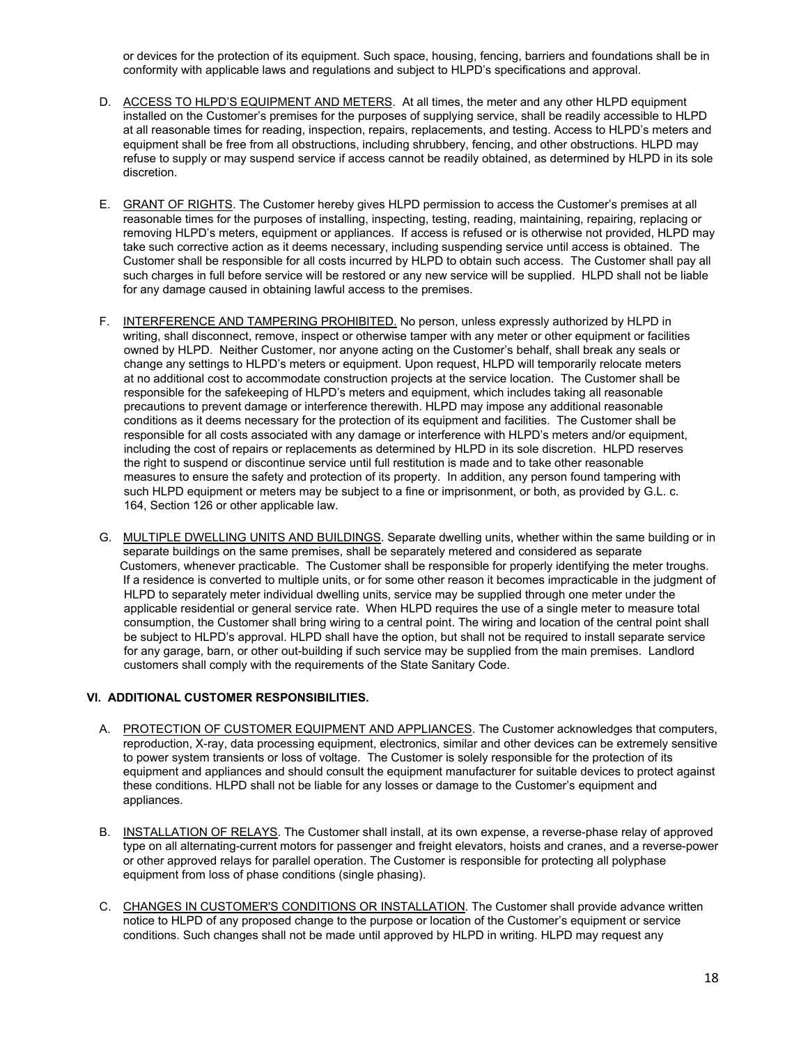or devices for the protection of its equipment. Such space, housing, fencing, barriers and foundations shall be in conformity with applicable laws and regulations and subject to HLPD's specifications and approval.

- D. ACCESS TO HLPD'S EQUIPMENT AND METERS. At all times, the meter and any other HLPD equipment installed on the Customer's premises for the purposes of supplying service, shall be readily accessible to HLPD at all reasonable times for reading, inspection, repairs, replacements, and testing. Access to HLPD's meters and equipment shall be free from all obstructions, including shrubbery, fencing, and other obstructions. HLPD may refuse to supply or may suspend service if access cannot be readily obtained, as determined by HLPD in its sole discretion.
- E. GRANT OF RIGHTS. The Customer hereby gives HLPD permission to access the Customer's premises at all reasonable times for the purposes of installing, inspecting, testing, reading, maintaining, repairing, replacing or removing HLPD's meters, equipment or appliances. If access is refused or is otherwise not provided, HLPD may take such corrective action as it deems necessary, including suspending service until access is obtained. The Customer shall be responsible for all costs incurred by HLPD to obtain such access. The Customer shall pay all such charges in full before service will be restored or any new service will be supplied. HLPD shall not be liable for any damage caused in obtaining lawful access to the premises.
- F. INTERFERENCE AND TAMPERING PROHIBITED. No person, unless expressly authorized by HLPD in writing, shall disconnect, remove, inspect or otherwise tamper with any meter or other equipment or facilities owned by HLPD. Neither Customer, nor anyone acting on the Customer's behalf, shall break any seals or change any settings to HLPD's meters or equipment. Upon request, HLPD will temporarily relocate meters at no additional cost to accommodate construction projects at the service location. The Customer shall be responsible for the safekeeping of HLPD's meters and equipment, which includes taking all reasonable precautions to prevent damage or interference therewith. HLPD may impose any additional reasonable conditions as it deems necessary for the protection of its equipment and facilities. The Customer shall be responsible for all costs associated with any damage or interference with HLPD's meters and/or equipment, including the cost of repairs or replacements as determined by HLPD in its sole discretion. HLPD reserves the right to suspend or discontinue service until full restitution is made and to take other reasonable measures to ensure the safety and protection of its property. In addition, any person found tampering with such HLPD equipment or meters may be subject to a fine or imprisonment, or both, as provided by G.L. c. 164, Section 126 or other applicable law.
- G. MULTIPLE DWELLING UNITS AND BUILDINGS. Separate dwelling units, whether within the same building or in separate buildings on the same premises, shall be separately metered and considered as separate Customers, whenever practicable. The Customer shall be responsible for properly identifying the meter troughs. If a residence is converted to multiple units, or for some other reason it becomes impracticable in the judgment of HLPD to separately meter individual dwelling units, service may be supplied through one meter under the applicable residential or general service rate. When HLPD requires the use of a single meter to measure total consumption, the Customer shall bring wiring to a central point. The wiring and location of the central point shall be subject to HLPD's approval. HLPD shall have the option, but shall not be required to install separate service for any garage, barn, or other out-building if such service may be supplied from the main premises. Landlord customers shall comply with the requirements of the State Sanitary Code.

# **VI. ADDITIONAL CUSTOMER RESPONSIBILITIES.**

- A. PROTECTION OF CUSTOMER EQUIPMENT AND APPLIANCES. The Customer acknowledges that computers, reproduction, X-ray, data processing equipment, electronics, similar and other devices can be extremely sensitive to power system transients or loss of voltage. The Customer is solely responsible for the protection of its equipment and appliances and should consult the equipment manufacturer for suitable devices to protect against these conditions. HLPD shall not be liable for any losses or damage to the Customer's equipment and appliances.
- B. INSTALLATION OF RELAYS. The Customer shall install, at its own expense, a reverse-phase relay of approved type on all alternating-current motors for passenger and freight elevators, hoists and cranes, and a reverse-power or other approved relays for parallel operation. The Customer is responsible for protecting all polyphase equipment from loss of phase conditions (single phasing).
- C. CHANGES IN CUSTOMER'S CONDITIONS OR INSTALLATION. The Customer shall provide advance written notice to HLPD of any proposed change to the purpose or location of the Customer's equipment or service conditions. Such changes shall not be made until approved by HLPD in writing. HLPD may request any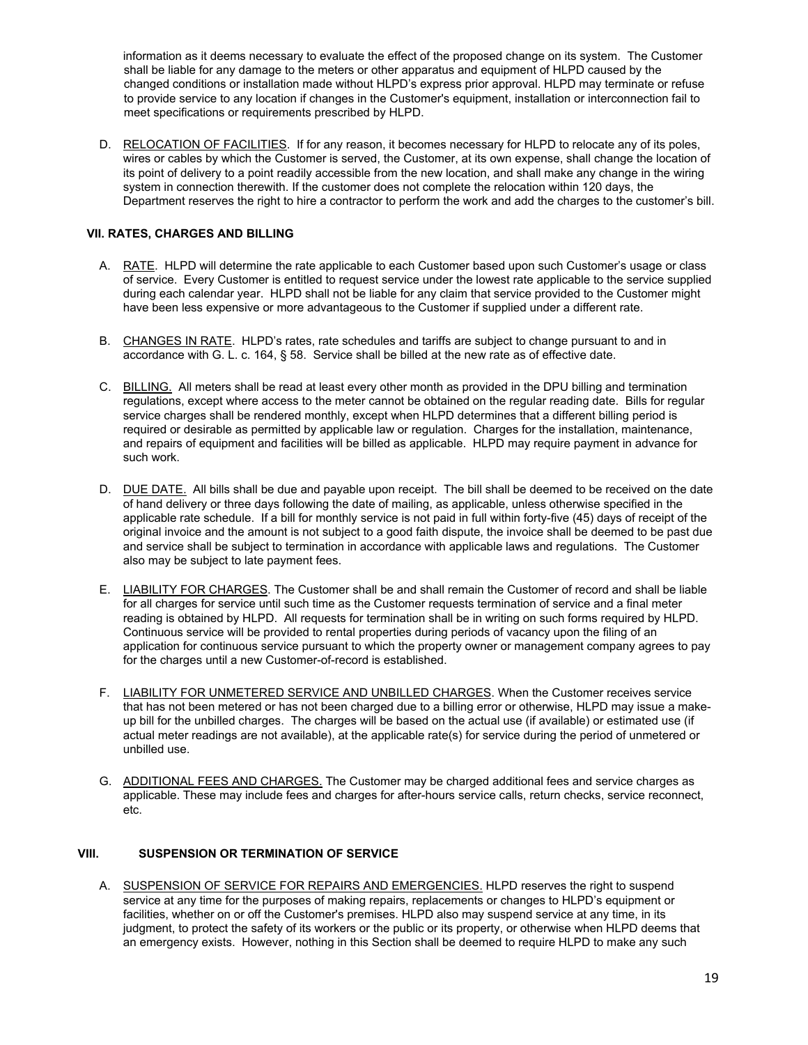information as it deems necessary to evaluate the effect of the proposed change on its system. The Customer shall be liable for any damage to the meters or other apparatus and equipment of HLPD caused by the changed conditions or installation made without HLPD's express prior approval. HLPD may terminate or refuse to provide service to any location if changes in the Customer's equipment, installation or interconnection fail to meet specifications or requirements prescribed by HLPD.

D. RELOCATION OF FACILITIES. If for any reason, it becomes necessary for HLPD to relocate any of its poles, wires or cables by which the Customer is served, the Customer, at its own expense, shall change the location of its point of delivery to a point readily accessible from the new location, and shall make any change in the wiring system in connection therewith. If the customer does not complete the relocation within 120 days, the Department reserves the right to hire a contractor to perform the work and add the charges to the customer's bill.

# **VII. RATES, CHARGES AND BILLING**

- A. RATE. HLPD will determine the rate applicable to each Customer based upon such Customer's usage or class of service. Every Customer is entitled to request service under the lowest rate applicable to the service supplied during each calendar year. HLPD shall not be liable for any claim that service provided to the Customer might have been less expensive or more advantageous to the Customer if supplied under a different rate.
- B. CHANGES IN RATE. HLPD's rates, rate schedules and tariffs are subject to change pursuant to and in accordance with G. L. c. 164, § 58. Service shall be billed at the new rate as of effective date.
- C. BILLING. All meters shall be read at least every other month as provided in the DPU billing and termination regulations, except where access to the meter cannot be obtained on the regular reading date. Bills for regular service charges shall be rendered monthly, except when HLPD determines that a different billing period is required or desirable as permitted by applicable law or regulation. Charges for the installation, maintenance, and repairs of equipment and facilities will be billed as applicable. HLPD may require payment in advance for such work.
- D. DUE DATE. All bills shall be due and payable upon receipt. The bill shall be deemed to be received on the date of hand delivery or three days following the date of mailing, as applicable, unless otherwise specified in the applicable rate schedule. If a bill for monthly service is not paid in full within forty-five (45) days of receipt of the original invoice and the amount is not subject to a good faith dispute, the invoice shall be deemed to be past due and service shall be subject to termination in accordance with applicable laws and regulations. The Customer also may be subject to late payment fees.
- E. LIABILITY FOR CHARGES. The Customer shall be and shall remain the Customer of record and shall be liable for all charges for service until such time as the Customer requests termination of service and a final meter reading is obtained by HLPD. All requests for termination shall be in writing on such forms required by HLPD. Continuous service will be provided to rental properties during periods of vacancy upon the filing of an application for continuous service pursuant to which the property owner or management company agrees to pay for the charges until a new Customer-of-record is established.
- F. LIABILITY FOR UNMETERED SERVICE AND UNBILLED CHARGES. When the Customer receives service that has not been metered or has not been charged due to a billing error or otherwise, HLPD may issue a makeup bill for the unbilled charges. The charges will be based on the actual use (if available) or estimated use (if actual meter readings are not available), at the applicable rate(s) for service during the period of unmetered or unbilled use.
- G. ADDITIONAL FEES AND CHARGES. The Customer may be charged additional fees and service charges as applicable. These may include fees and charges for after-hours service calls, return checks, service reconnect, etc.

# **VIII. SUSPENSION OR TERMINATION OF SERVICE**

A. SUSPENSION OF SERVICE FOR REPAIRS AND EMERGENCIES. HLPD reserves the right to suspend service at any time for the purposes of making repairs, replacements or changes to HLPD's equipment or facilities, whether on or off the Customer's premises. HLPD also may suspend service at any time, in its judgment, to protect the safety of its workers or the public or its property, or otherwise when HLPD deems that an emergency exists. However, nothing in this Section shall be deemed to require HLPD to make any such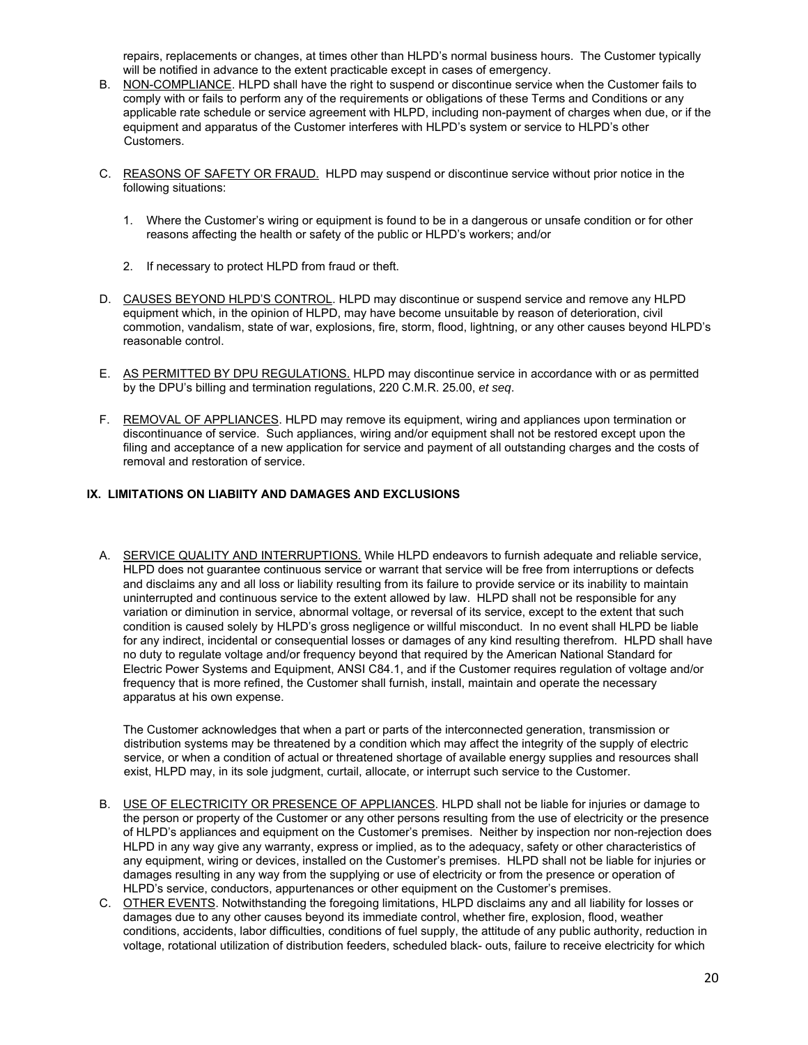repairs, replacements or changes, at times other than HLPD's normal business hours. The Customer typically will be notified in advance to the extent practicable except in cases of emergency.

- B. NON-COMPLIANCE. HLPD shall have the right to suspend or discontinue service when the Customer fails to comply with or fails to perform any of the requirements or obligations of these Terms and Conditions or any applicable rate schedule or service agreement with HLPD, including non-payment of charges when due, or if the equipment and apparatus of the Customer interferes with HLPD's system or service to HLPD's other Customers.
- C. REASONS OF SAFETY OR FRAUD. HLPD may suspend or discontinue service without prior notice in the following situations:
	- 1. Where the Customer's wiring or equipment is found to be in a dangerous or unsafe condition or for other reasons affecting the health or safety of the public or HLPD's workers; and/or
	- 2. If necessary to protect HLPD from fraud or theft.
- D. CAUSES BEYOND HLPD'S CONTROL. HLPD may discontinue or suspend service and remove any HLPD equipment which, in the opinion of HLPD, may have become unsuitable by reason of deterioration, civil commotion, vandalism, state of war, explosions, fire, storm, flood, lightning, or any other causes beyond HLPD's reasonable control.
- E. AS PERMITTED BY DPU REGULATIONS. HLPD may discontinue service in accordance with or as permitted by the DPU's billing and termination regulations, 220 C.M.R. 25.00, *et seq*.
- F. REMOVAL OF APPLIANCES. HLPD may remove its equipment, wiring and appliances upon termination or discontinuance of service. Such appliances, wiring and/or equipment shall not be restored except upon the filing and acceptance of a new application for service and payment of all outstanding charges and the costs of removal and restoration of service.

# **IX. LIMITATIONS ON LIABIITY AND DAMAGES AND EXCLUSIONS**

A. SERVICE QUALITY AND INTERRUPTIONS. While HLPD endeavors to furnish adequate and reliable service, HLPD does not guarantee continuous service or warrant that service will be free from interruptions or defects and disclaims any and all loss or liability resulting from its failure to provide service or its inability to maintain uninterrupted and continuous service to the extent allowed by law. HLPD shall not be responsible for any variation or diminution in service, abnormal voltage, or reversal of its service, except to the extent that such condition is caused solely by HLPD's gross negligence or willful misconduct. In no event shall HLPD be liable for any indirect, incidental or consequential losses or damages of any kind resulting therefrom. HLPD shall have no duty to regulate voltage and/or frequency beyond that required by the American National Standard for Electric Power Systems and Equipment, ANSI C84.1, and if the Customer requires regulation of voltage and/or frequency that is more refined, the Customer shall furnish, install, maintain and operate the necessary apparatus at his own expense.

The Customer acknowledges that when a part or parts of the interconnected generation, transmission or distribution systems may be threatened by a condition which may affect the integrity of the supply of electric service, or when a condition of actual or threatened shortage of available energy supplies and resources shall exist, HLPD may, in its sole judgment, curtail, allocate, or interrupt such service to the Customer.

- B. USE OF ELECTRICITY OR PRESENCE OF APPLIANCES. HLPD shall not be liable for injuries or damage to the person or property of the Customer or any other persons resulting from the use of electricity or the presence of HLPD's appliances and equipment on the Customer's premises. Neither by inspection nor non-rejection does HLPD in any way give any warranty, express or implied, as to the adequacy, safety or other characteristics of any equipment, wiring or devices, installed on the Customer's premises. HLPD shall not be liable for injuries or damages resulting in any way from the supplying or use of electricity or from the presence or operation of HLPD's service, conductors, appurtenances or other equipment on the Customer's premises.
- C. OTHER EVENTS. Notwithstanding the foregoing limitations, HLPD disclaims any and all liability for losses or damages due to any other causes beyond its immediate control, whether fire, explosion, flood, weather conditions, accidents, labor difficulties, conditions of fuel supply, the attitude of any public authority, reduction in voltage, rotational utilization of distribution feeders, scheduled black- outs, failure to receive electricity for which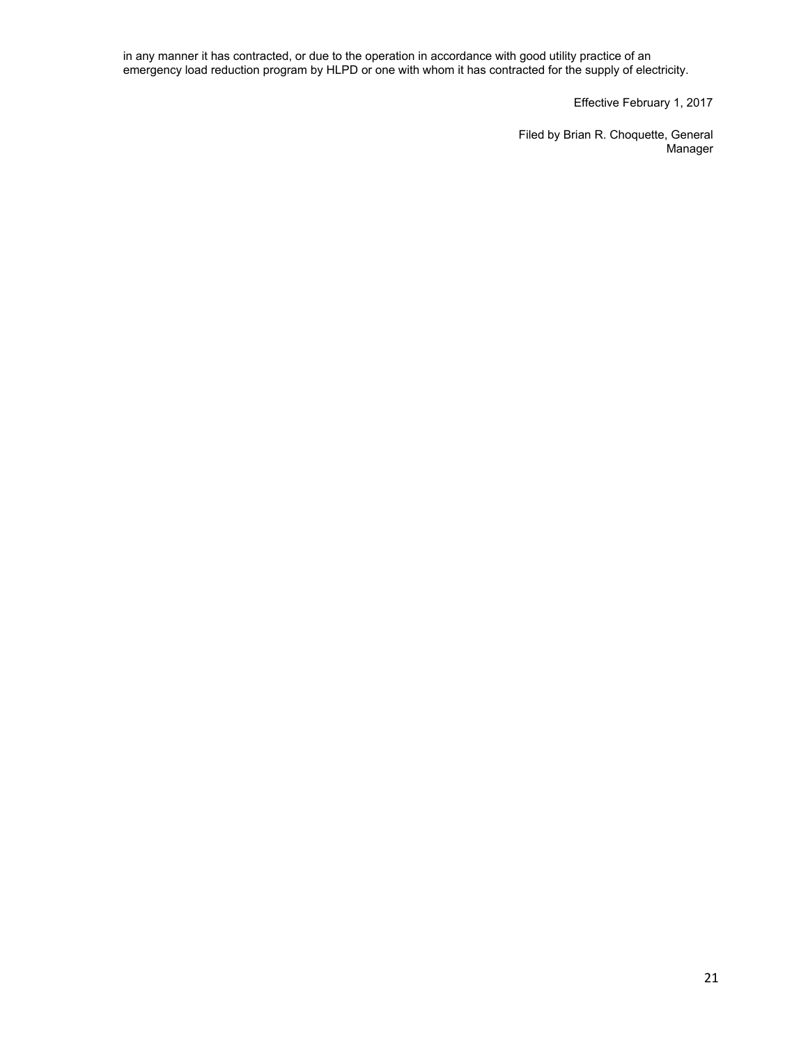in any manner it has contracted, or due to the operation in accordance with good utility practice of an emergency load reduction program by HLPD or one with whom it has contracted for the supply of electricity.

Effective February 1, 2017

Filed by Brian R. Choquette, General **Manager**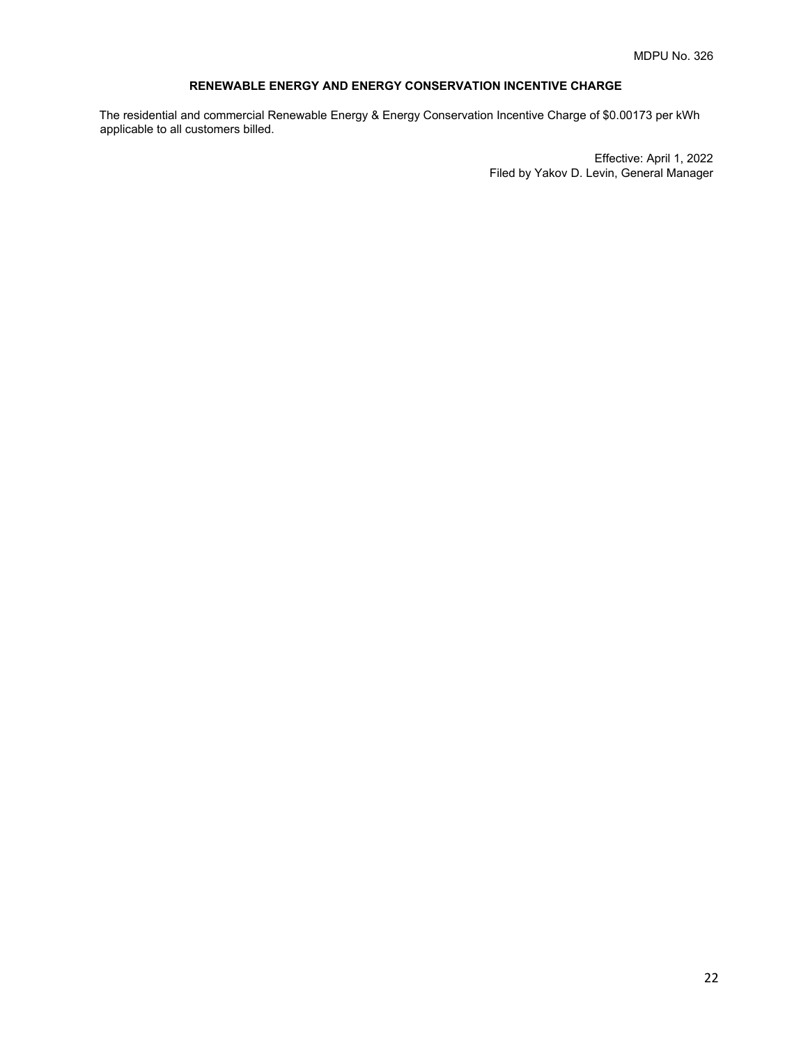# **RENEWABLE ENERGY AND ENERGY CONSERVATION INCENTIVE CHARGE**

The residential and commercial Renewable Energy & Energy Conservation Incentive Charge of \$0.00173 per kWh applicable to all customers billed.

> Effective: April 1, 2022 Filed by Yakov D. Levin, General Manager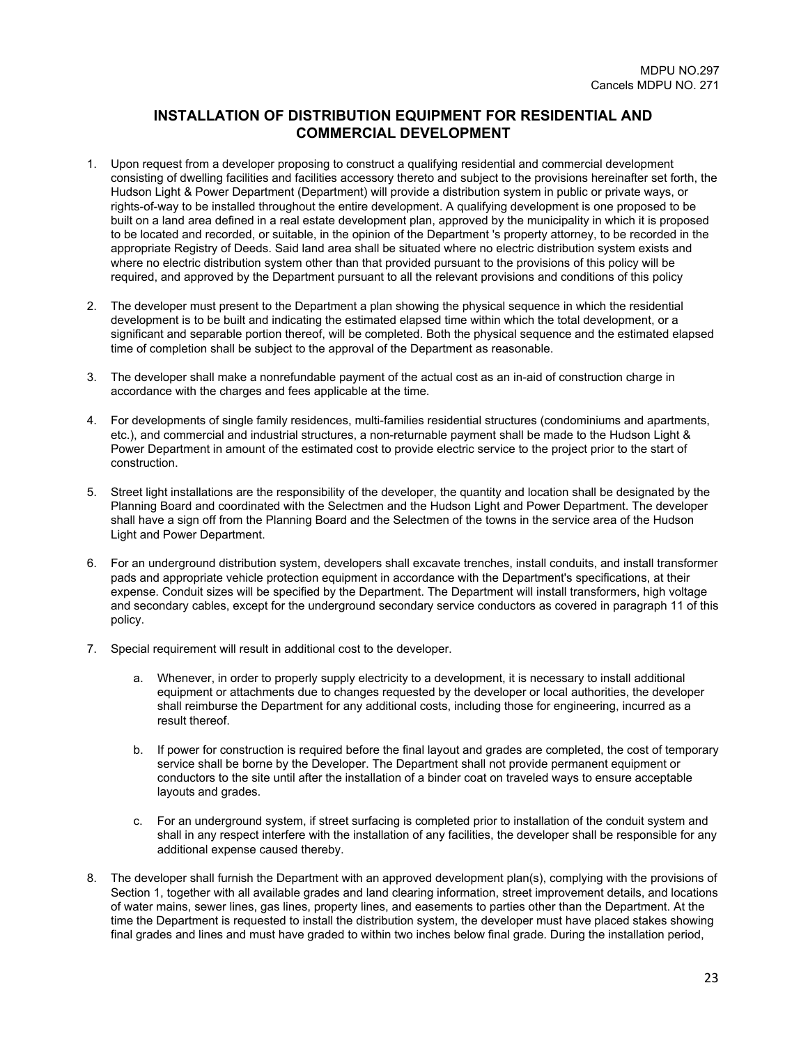# **INSTALLATION OF DISTRIBUTION EQUIPMENT FOR RESIDENTIAL AND COMMERCIAL DEVELOPMENT**

- 1. Upon request from a developer proposing to construct a qualifying residential and commercial development consisting of dwelling facilities and facilities accessory thereto and subject to the provisions hereinafter set forth, the Hudson Light & Power Department (Department) will provide a distribution system in public or private ways, or rights-of-way to be installed throughout the entire development. A qualifying development is one proposed to be built on a land area defined in a real estate development plan, approved by the municipality in which it is proposed to be located and recorded, or suitable, in the opinion of the Department 's property attorney, to be recorded in the appropriate Registry of Deeds. Said land area shall be situated where no electric distribution system exists and where no electric distribution system other than that provided pursuant to the provisions of this policy will be required, and approved by the Department pursuant to all the relevant provisions and conditions of this policy
- 2. The developer must present to the Department a plan showing the physical sequence in which the residential development is to be built and indicating the estimated elapsed time within which the total development, or a significant and separable portion thereof, will be completed. Both the physical sequence and the estimated elapsed time of completion shall be subject to the approval of the Department as reasonable.
- 3. The developer shall make a nonrefundable payment of the actual cost as an in-aid of construction charge in accordance with the charges and fees applicable at the time.
- 4. For developments of single family residences, multi-families residential structures (condominiums and apartments, etc.), and commercial and industrial structures, a non-returnable payment shall be made to the Hudson Light & Power Department in amount of the estimated cost to provide electric service to the project prior to the start of construction.
- 5. Street light installations are the responsibility of the developer, the quantity and location shall be designated by the Planning Board and coordinated with the Selectmen and the Hudson Light and Power Department. The developer shall have a sign off from the Planning Board and the Selectmen of the towns in the service area of the Hudson Light and Power Department.
- 6. For an underground distribution system, developers shall excavate trenches, install conduits, and install transformer pads and appropriate vehicle protection equipment in accordance with the Department's specifications, at their expense. Conduit sizes will be specified by the Department. The Department will install transformers, high voltage and secondary cables, except for the underground secondary service conductors as covered in paragraph 11 of this policy.
- 7. Special requirement will result in additional cost to the developer.
	- a. Whenever, in order to properly supply electricity to a development, it is necessary to install additional equipment or attachments due to changes requested by the developer or local authorities, the developer shall reimburse the Department for any additional costs, including those for engineering, incurred as a result thereof.
	- b. If power for construction is required before the final layout and grades are completed, the cost of temporary service shall be borne by the Developer. The Department shall not provide permanent equipment or conductors to the site until after the installation of a binder coat on traveled ways to ensure acceptable layouts and grades.
	- c. For an underground system, if street surfacing is completed prior to installation of the conduit system and shall in any respect interfere with the installation of any facilities, the developer shall be responsible for any additional expense caused thereby.
- 8. The developer shall furnish the Department with an approved development plan(s), complying with the provisions of Section 1, together with all available grades and land clearing information, street improvement details, and locations of water mains, sewer lines, gas lines, property lines, and easements to parties other than the Department. At the time the Department is requested to install the distribution system, the developer must have placed stakes showing final grades and lines and must have graded to within two inches below final grade. During the installation period,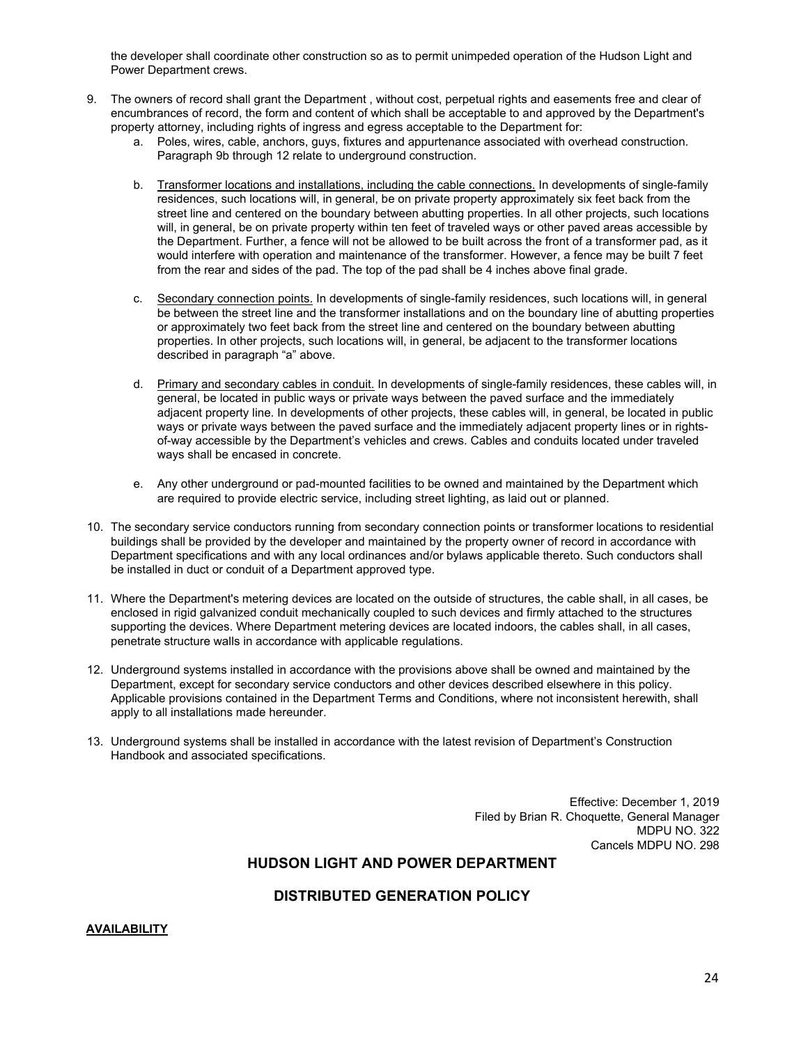the developer shall coordinate other construction so as to permit unimpeded operation of the Hudson Light and Power Department crews.

- 9. The owners of record shall grant the Department , without cost, perpetual rights and easements free and clear of encumbrances of record, the form and content of which shall be acceptable to and approved by the Department's property attorney, including rights of ingress and egress acceptable to the Department for:
	- a. Poles, wires, cable, anchors, guys, fixtures and appurtenance associated with overhead construction. Paragraph 9b through 12 relate to underground construction.
	- b. Transformer locations and installations, including the cable connections. In developments of single-family residences, such locations will, in general, be on private property approximately six feet back from the street line and centered on the boundary between abutting properties. In all other projects, such locations will, in general, be on private property within ten feet of traveled ways or other paved areas accessible by the Department. Further, a fence will not be allowed to be built across the front of a transformer pad, as it would interfere with operation and maintenance of the transformer. However, a fence may be built 7 feet from the rear and sides of the pad. The top of the pad shall be 4 inches above final grade.
	- c. Secondary connection points. In developments of single-family residences, such locations will, in general be between the street line and the transformer installations and on the boundary line of abutting properties or approximately two feet back from the street line and centered on the boundary between abutting properties. In other projects, such locations will, in general, be adjacent to the transformer locations described in paragraph "a" above.
	- d. Primary and secondary cables in conduit. In developments of single-family residences, these cables will, in general, be located in public ways or private ways between the paved surface and the immediately adjacent property line. In developments of other projects, these cables will, in general, be located in public ways or private ways between the paved surface and the immediately adjacent property lines or in rightsof-way accessible by the Department's vehicles and crews. Cables and conduits located under traveled ways shall be encased in concrete.
	- e. Any other underground or pad-mounted facilities to be owned and maintained by the Department which are required to provide electric service, including street lighting, as laid out or planned.
- 10. The secondary service conductors running from secondary connection points or transformer locations to residential buildings shall be provided by the developer and maintained by the property owner of record in accordance with Department specifications and with any local ordinances and/or bylaws applicable thereto. Such conductors shall be installed in duct or conduit of a Department approved type.
- 11. Where the Department's metering devices are located on the outside of structures, the cable shall, in all cases, be enclosed in rigid galvanized conduit mechanically coupled to such devices and firmly attached to the structures supporting the devices. Where Department metering devices are located indoors, the cables shall, in all cases, penetrate structure walls in accordance with applicable regulations.
- 12. Underground systems installed in accordance with the provisions above shall be owned and maintained by the Department, except for secondary service conductors and other devices described elsewhere in this policy. Applicable provisions contained in the Department Terms and Conditions, where not inconsistent herewith, shall apply to all installations made hereunder.
- 13. Underground systems shall be installed in accordance with the latest revision of Department's Construction Handbook and associated specifications.

Effective: December 1, 2019 Filed by Brian R. Choquette, General Manager MDPU NO. 322 Cancels MDPU NO. 298

# **HUDSON LIGHT AND POWER DEPARTMENT**

# **DISTRIBUTED GENERATION POLICY**

### **AVAILABILITY**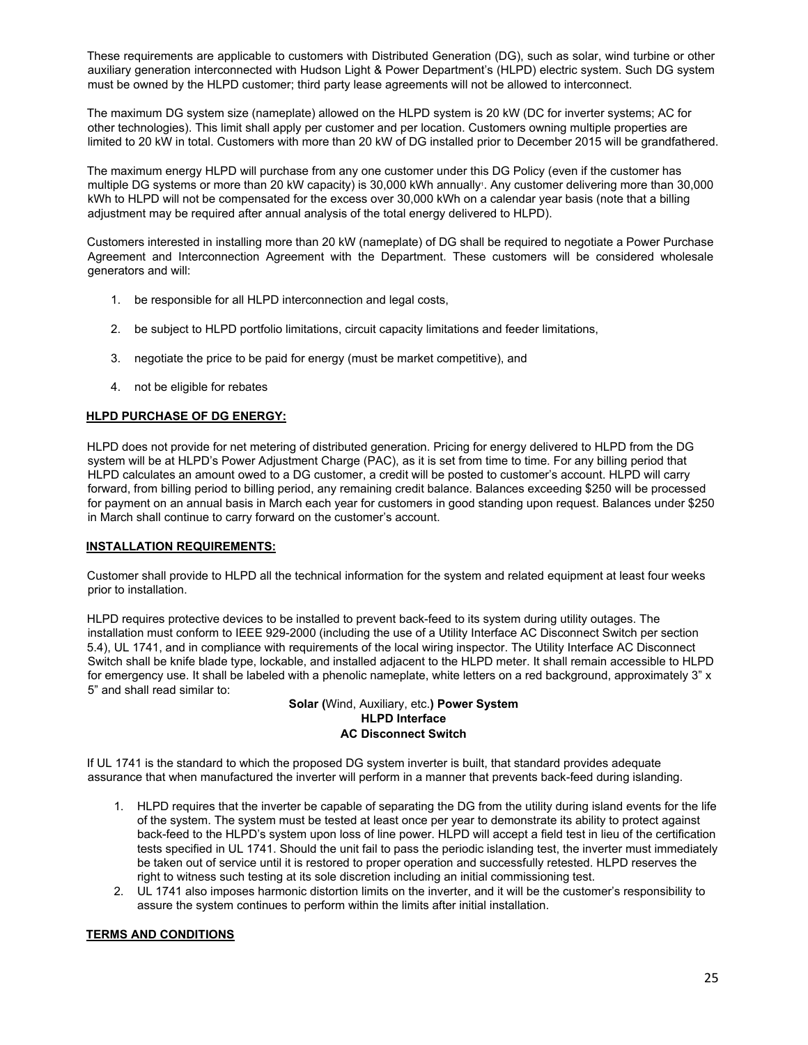These requirements are applicable to customers with Distributed Generation (DG), such as solar, wind turbine or other auxiliary generation interconnected with Hudson Light & Power Department's (HLPD) electric system. Such DG system must be owned by the HLPD customer; third party lease agreements will not be allowed to interconnect.

The maximum DG system size (nameplate) allowed on the HLPD system is 20 kW (DC for inverter systems; AC for other technologies). This limit shall apply per customer and per location. Customers owning multiple properties are limited to 20 kW in total. Customers with more than 20 kW of DG installed prior to December 2015 will be grandfathered.

The maximum energy HLPD will purchase from any one customer under this DG Policy (even if the customer has multiple DG systems or more than 20 kW capacity) is 30,000 kWh annually. Any customer delivering more than 30,000 kWh to HLPD will not be compensated for the excess over 30,000 kWh on a calendar year basis (note that a billing adjustment may be required after annual analysis of the total energy delivered to HLPD).

Customers interested in installing more than 20 kW (nameplate) of DG shall be required to negotiate a Power Purchase Agreement and Interconnection Agreement with the Department. These customers will be considered wholesale generators and will:

- 1. be responsible for all HLPD interconnection and legal costs,
- 2. be subject to HLPD portfolio limitations, circuit capacity limitations and feeder limitations,
- 3. negotiate the price to be paid for energy (must be market competitive), and
- 4. not be eligible for rebates

# **HLPD PURCHASE OF DG ENERGY:**

HLPD does not provide for net metering of distributed generation. Pricing for energy delivered to HLPD from the DG system will be at HLPD's Power Adjustment Charge (PAC), as it is set from time to time. For any billing period that HLPD calculates an amount owed to a DG customer, a credit will be posted to customer's account. HLPD will carry forward, from billing period to billing period, any remaining credit balance. Balances exceeding \$250 will be processed for payment on an annual basis in March each year for customers in good standing upon request. Balances under \$250 in March shall continue to carry forward on the customer's account.

# **INSTALLATION REQUIREMENTS:**

Customer shall provide to HLPD all the technical information for the system and related equipment at least four weeks prior to installation.

HLPD requires protective devices to be installed to prevent back-feed to its system during utility outages. The installation must conform to IEEE 929-2000 (including the use of a Utility Interface AC Disconnect Switch per section 5.4), UL 1741, and in compliance with requirements of the local wiring inspector. The Utility Interface AC Disconnect Switch shall be knife blade type, lockable, and installed adjacent to the HLPD meter. It shall remain accessible to HLPD for emergency use. It shall be labeled with a phenolic nameplate, white letters on a red background, approximately 3" x 5" and shall read similar to:

# **Solar (**Wind, Auxiliary, etc.**) Power System HLPD Interface AC Disconnect Switch**

If UL 1741 is the standard to which the proposed DG system inverter is built, that standard provides adequate assurance that when manufactured the inverter will perform in a manner that prevents back-feed during islanding.

- 1. HLPD requires that the inverter be capable of separating the DG from the utility during island events for the life of the system. The system must be tested at least once per year to demonstrate its ability to protect against back-feed to the HLPD's system upon loss of line power. HLPD will accept a field test in lieu of the certification tests specified in UL 1741. Should the unit fail to pass the periodic islanding test, the inverter must immediately be taken out of service until it is restored to proper operation and successfully retested. HLPD reserves the right to witness such testing at its sole discretion including an initial commissioning test.
- 2. UL 1741 also imposes harmonic distortion limits on the inverter, and it will be the customer's responsibility to assure the system continues to perform within the limits after initial installation.

# **TERMS AND CONDITIONS**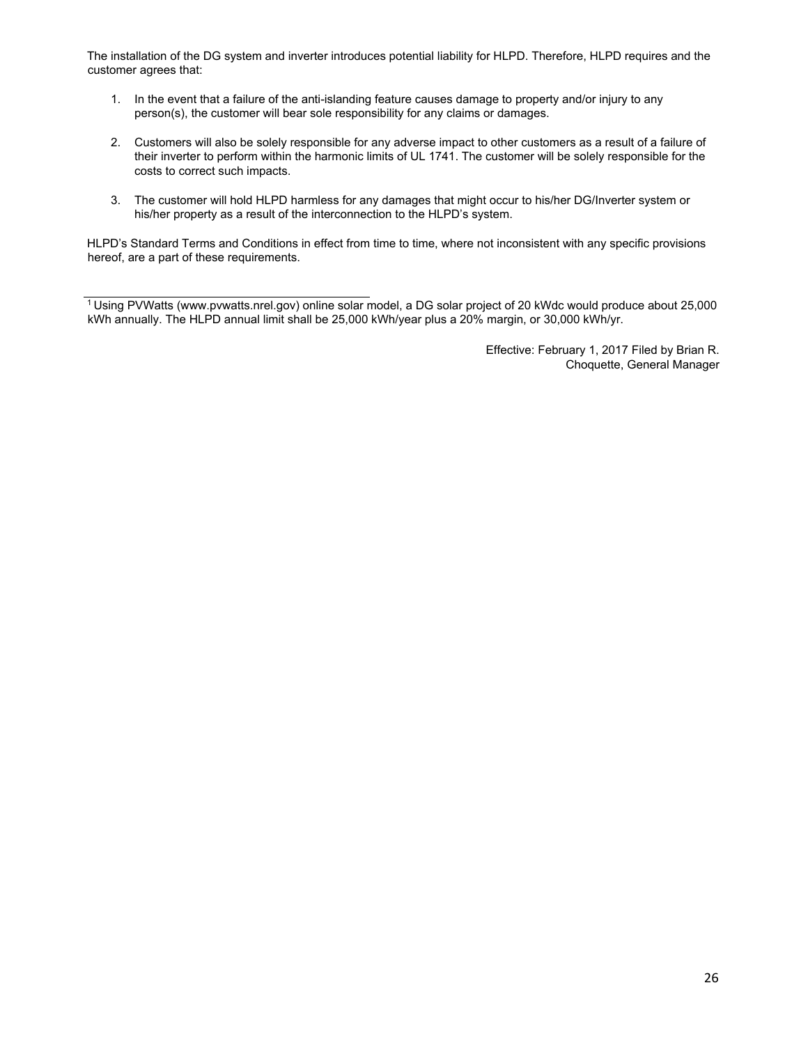The installation of the DG system and inverter introduces potential liability for HLPD. Therefore, HLPD requires and the customer agrees that:

- 1. In the event that a failure of the anti-islanding feature causes damage to property and/or injury to any person(s), the customer will bear sole responsibility for any claims or damages.
- 2. Customers will also be solely responsible for any adverse impact to other customers as a result of a failure of their inverter to perform within the harmonic limits of UL 1741. The customer will be solely responsible for the costs to correct such impacts.
- 3. The customer will hold HLPD harmless for any damages that might occur to his/her DG/Inverter system or his/her property as a result of the interconnection to the HLPD's system.

HLPD's Standard Terms and Conditions in effect from time to time, where not inconsistent with any specific provisions hereof, are a part of these requirements.

1 Using PVWatts (www.pvwatts.nrel.gov) online solar model, a DG solar project of 20 kWdc would produce about 25,000 kWh annually. The HLPD annual limit shall be 25,000 kWh/year plus a 20% margin, or 30,000 kWh/yr.

> Effective: February 1, 2017 Filed by Brian R. Choquette, General Manager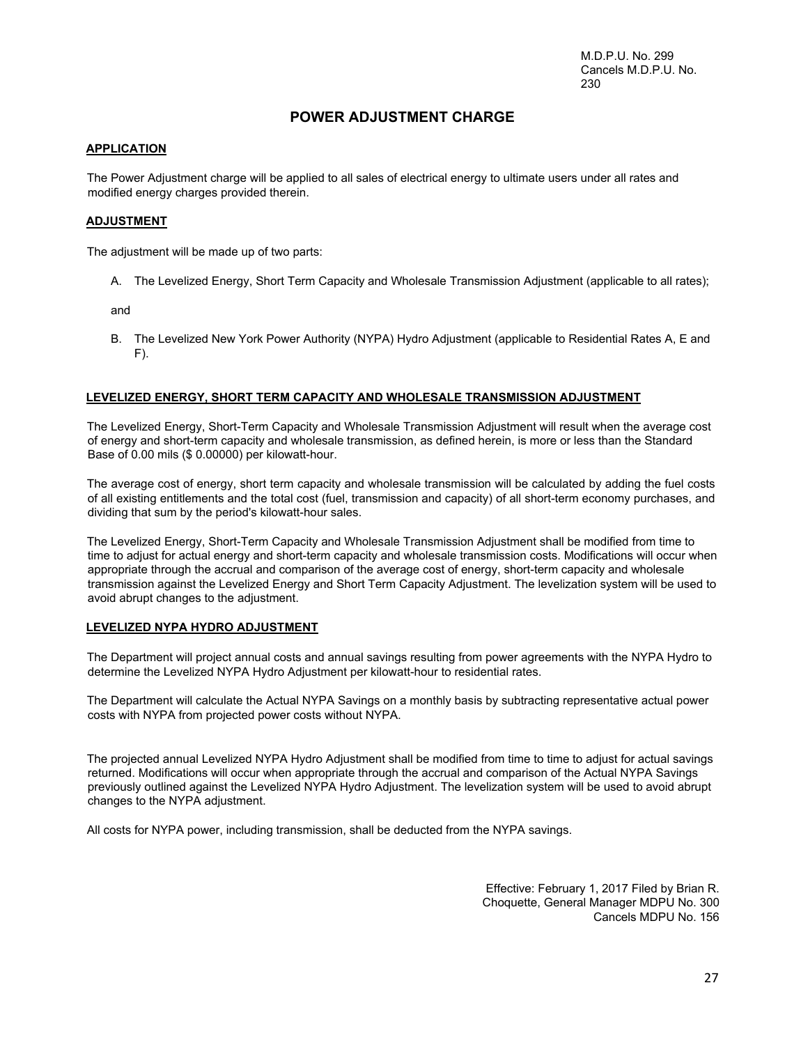M.D.P.U. No. 299 Cancels M.D.P.U. No. 230

# **POWER ADJUSTMENT CHARGE**

## **APPLICATION**

The Power Adjustment charge will be applied to all sales of electrical energy to ultimate users under all rates and modified energy charges provided therein.

#### **ADJUSTMENT**

The adjustment will be made up of two parts:

A. The Levelized Energy, Short Term Capacity and Wholesale Transmission Adjustment (applicable to all rates);

and

B. The Levelized New York Power Authority (NYPA) Hydro Adjustment (applicable to Residential Rates A, E and  $F$ ).

### **LEVELIZED ENERGY, SHORT TERM CAPACITY AND WHOLESALE TRANSMISSION ADJUSTMENT**

The Levelized Energy, Short-Term Capacity and Wholesale Transmission Adjustment will result when the average cost of energy and short-term capacity and wholesale transmission, as defined herein, is more or less than the Standard Base of 0.00 mils (\$ 0.00000) per kilowatt-hour.

The average cost of energy, short term capacity and wholesale transmission will be calculated by adding the fuel costs of all existing entitlements and the total cost (fuel, transmission and capacity) of all short-term economy purchases, and dividing that sum by the period's kilowatt-hour sales.

The Levelized Energy, Short-Term Capacity and Wholesale Transmission Adjustment shall be modified from time to time to adjust for actual energy and short-term capacity and wholesale transmission costs. Modifications will occur when appropriate through the accrual and comparison of the average cost of energy, short-term capacity and wholesale transmission against the Levelized Energy and Short Term Capacity Adjustment. The levelization system will be used to avoid abrupt changes to the adjustment.

#### **LEVELIZED NYPA HYDRO ADJUSTMENT**

The Department will project annual costs and annual savings resulting from power agreements with the NYPA Hydro to determine the Levelized NYPA Hydro Adjustment per kilowatt-hour to residential rates.

The Department will calculate the Actual NYPA Savings on a monthly basis by subtracting representative actual power costs with NYPA from projected power costs without NYPA.

The projected annual Levelized NYPA Hydro Adjustment shall be modified from time to time to adjust for actual savings returned. Modifications will occur when appropriate through the accrual and comparison of the Actual NYPA Savings previously outlined against the Levelized NYPA Hydro Adjustment. The levelization system will be used to avoid abrupt changes to the NYPA adjustment.

All costs for NYPA power, including transmission, shall be deducted from the NYPA savings.

Effective: February 1, 2017 Filed by Brian R. Choquette, General Manager MDPU No. 300 Cancels MDPU No. 156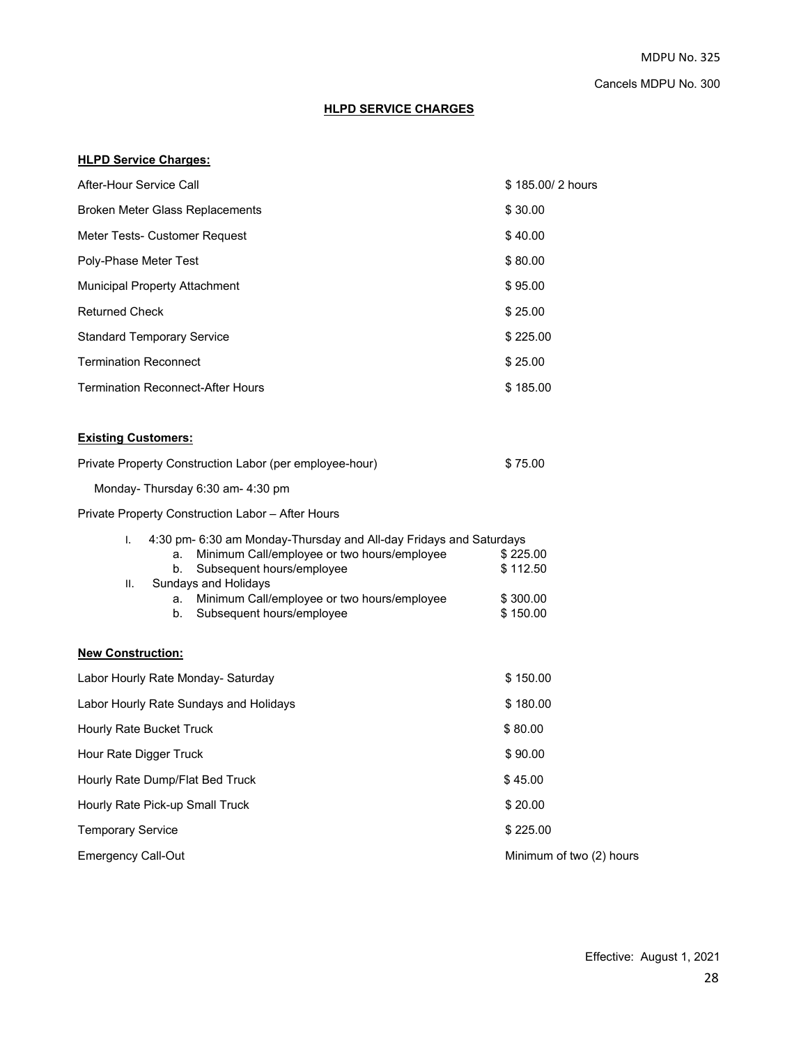# **HLPD SERVICE CHARGES**

# **HLPD Service Charges:**

| After-Hour Service Call                                                                                                                                                                                                                                                                | \$185,00/2 hours                             |
|----------------------------------------------------------------------------------------------------------------------------------------------------------------------------------------------------------------------------------------------------------------------------------------|----------------------------------------------|
| Broken Meter Glass Replacements                                                                                                                                                                                                                                                        | \$30.00                                      |
| Meter Tests- Customer Request                                                                                                                                                                                                                                                          | \$40.00                                      |
| Poly-Phase Meter Test                                                                                                                                                                                                                                                                  | \$80.00                                      |
| <b>Municipal Property Attachment</b>                                                                                                                                                                                                                                                   | \$95.00                                      |
| <b>Returned Check</b>                                                                                                                                                                                                                                                                  | \$25.00                                      |
| <b>Standard Temporary Service</b>                                                                                                                                                                                                                                                      | \$225.00                                     |
| <b>Termination Reconnect</b>                                                                                                                                                                                                                                                           | \$25.00                                      |
| <b>Termination Reconnect-After Hours</b>                                                                                                                                                                                                                                               | \$185.00                                     |
| <b>Existing Customers:</b>                                                                                                                                                                                                                                                             |                                              |
| Private Property Construction Labor (per employee-hour)                                                                                                                                                                                                                                | \$75.00                                      |
| Monday-Thursday 6:30 am- 4:30 pm                                                                                                                                                                                                                                                       |                                              |
| Private Property Construction Labor – After Hours                                                                                                                                                                                                                                      |                                              |
| 4:30 pm- 6:30 am Monday-Thursday and All-day Fridays and Saturdays<br>I.<br>Minimum Call/employee or two hours/employee<br>a.<br>Subsequent hours/employee<br>b.<br>Sundays and Holidays<br>Π.<br>Minimum Call/employee or two hours/employee<br>а.<br>Subsequent hours/employee<br>b. | \$225.00<br>\$112.50<br>\$300.00<br>\$150.00 |
| <b>New Construction:</b>                                                                                                                                                                                                                                                               |                                              |
| Labor Hourly Rate Monday- Saturday                                                                                                                                                                                                                                                     | \$150.00                                     |
| Labor Hourly Rate Sundays and Holidays                                                                                                                                                                                                                                                 | \$180.00                                     |
| Hourly Rate Bucket Truck                                                                                                                                                                                                                                                               | \$80.00                                      |
| Hour Rate Digger Truck                                                                                                                                                                                                                                                                 | \$90.00                                      |
| Hourly Rate Dump/Flat Bed Truck                                                                                                                                                                                                                                                        | \$45.00                                      |
| Hourly Rate Pick-up Small Truck                                                                                                                                                                                                                                                        | \$20.00                                      |
| <b>Temporary Service</b>                                                                                                                                                                                                                                                               | \$225.00                                     |
| <b>Emergency Call-Out</b>                                                                                                                                                                                                                                                              | Minimum of two (2) hours                     |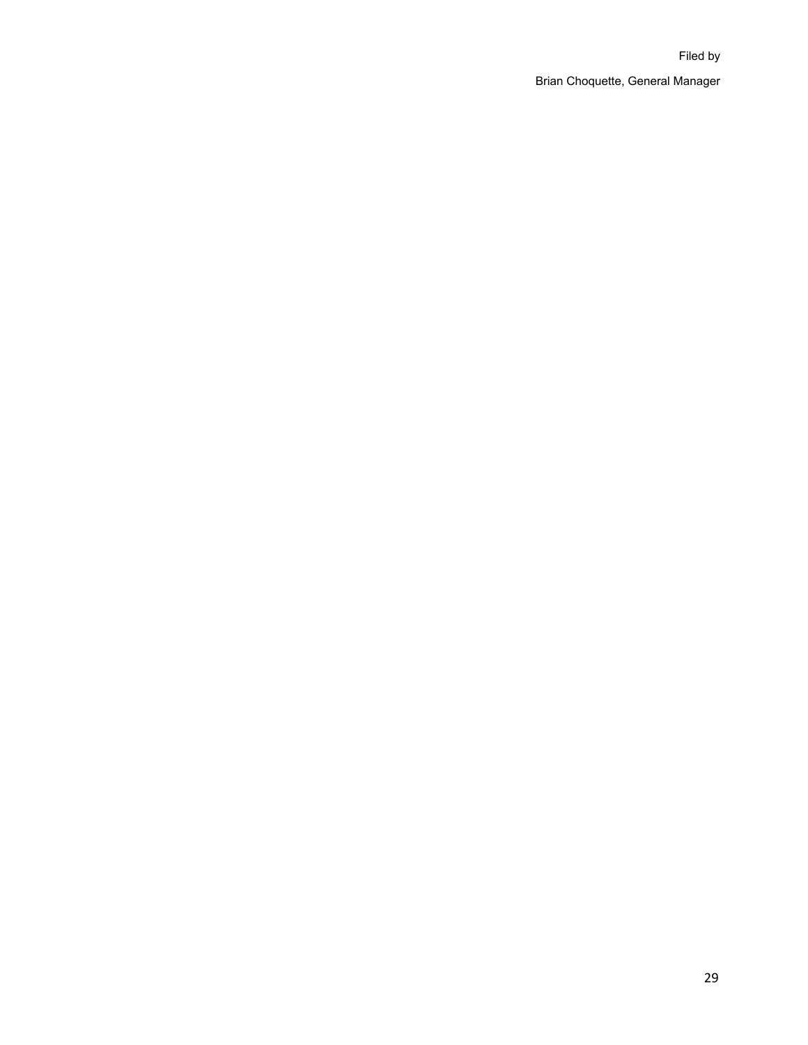# Filed by Brian Choquette, General Manager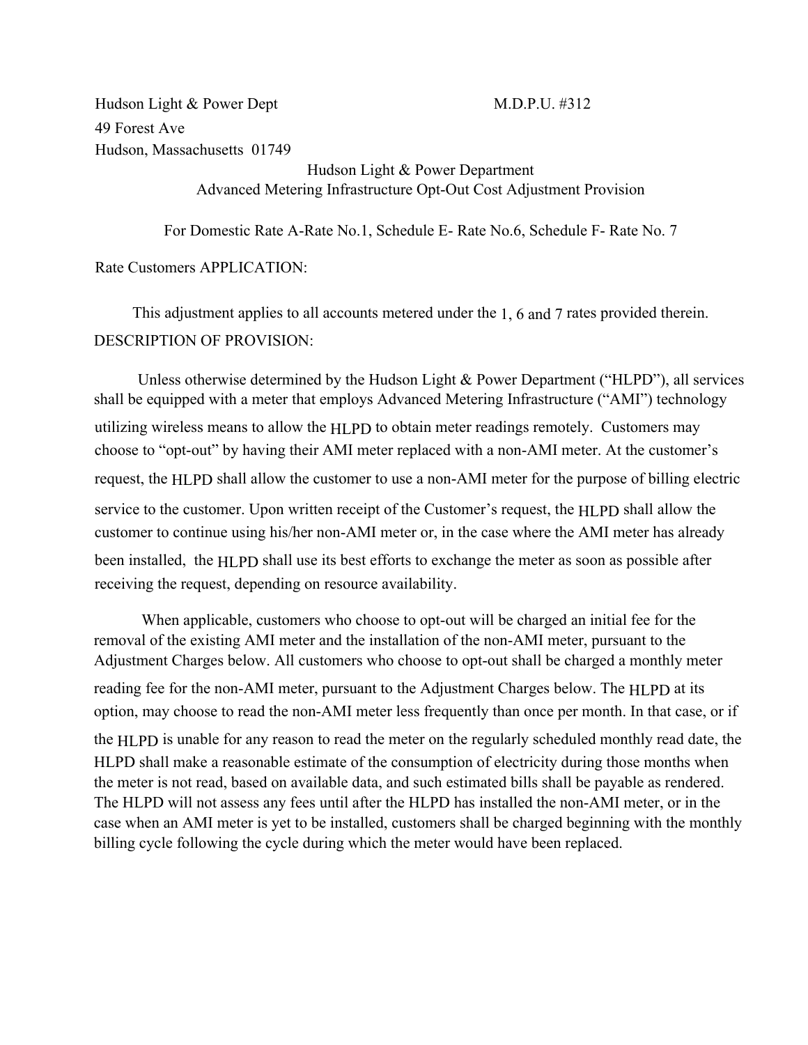Hudson Light & Power Dept 49 Forest Ave Hudson, Massachusetts 01749

# M.D.P.U. #312

# Hudson Light & Power Department Advanced Metering Infrastructure Opt-Out Cost Adjustment Provision

For Domestic Rate A-Rate No.1, Schedule E- Rate No.6, Schedule F- Rate No. 7

Rate Customers APPLICATION:

This adjustment applies to all accounts metered under the 1, 6 and 7 rates provided therein. DESCRIPTION OF PROVISION:

Unless otherwise determined by the Hudson Light & Power Department ("HLPD"), all services shall be equipped with a meter that employs Advanced Metering Infrastructure ("AMI") technology utilizing wireless means to allow the HLPD to obtain meter readings remotely. Customers may choose to "opt-out" by having their AMI meter replaced with a non-AMI meter. At the customer's request, the HLPD shall allow the customer to use a non-AMI meter for the purpose of billing electric service to the customer. Upon written receipt of the Customer's request, the HLPD shall allow the customer to continue using his/her non-AMI meter or, in the case where the AMI meter has already been installed, the HLPD shall use its best efforts to exchange the meter as soon as possible after receiving the request, depending on resource availability.

When applicable, customers who choose to opt-out will be charged an initial fee for the removal of the existing AMI meter and the installation of the non-AMI meter, pursuant to the Adjustment Charges below. All customers who choose to opt-out shall be charged a monthly meter reading fee for the non-AMI meter, pursuant to the Adjustment Charges below. The HLPD at its option, may choose to read the non-AMI meter less frequently than once per month. In that case, or if the HLPD is unable for any reason to read the meter on the regularly scheduled monthly read date, the HLPD shall make a reasonable estimate of the consumption of electricity during those months when the meter is not read, based on available data, and such estimated bills shall be payable as rendered. The HLPD will not assess any fees until after the HLPD has installed the non-AMI meter, or in the case when an AMI meter is yet to be installed, customers shall be charged beginning with the monthly billing cycle following the cycle during which the meter would have been replaced.